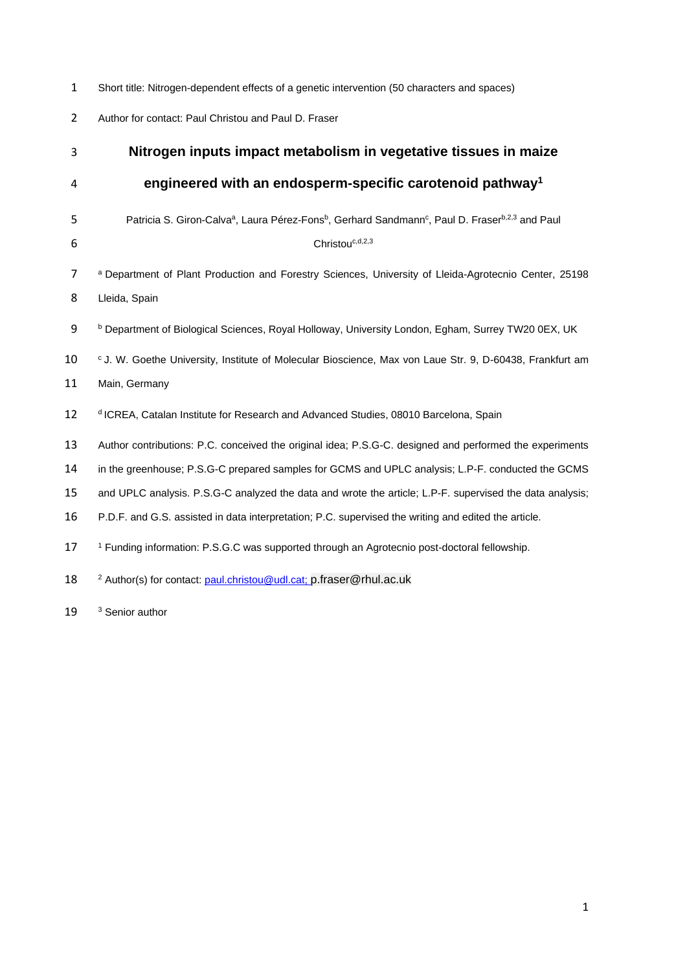- 1 Short title: Nitrogen-dependent effects of a genetic intervention (50 characters and spaces)
- 2 Author for contact: Paul Christou and Paul D. Fraser

| 3  | Nitrogen inputs impact metabolism in vegetative tissues in maize                                                                                |
|----|-------------------------------------------------------------------------------------------------------------------------------------------------|
| 4  | engineered with an endosperm-specific carotenoid pathway <sup>1</sup>                                                                           |
| 5  | Patricia S. Giron-Calva <sup>a</sup> , Laura Pérez-Fons <sup>b</sup> , Gerhard Sandmann <sup>c</sup> , Paul D. Fraser <sup>b,2,3</sup> and Paul |
| 6  | Christou <sup>c,d,2,3</sup>                                                                                                                     |
| 7  | a Department of Plant Production and Forestry Sciences, University of Lleida-Agrotecnio Center, 25198                                           |
| 8  | Lleida, Spain                                                                                                                                   |
| 9  | b Department of Biological Sciences, Royal Holloway, University London, Egham, Surrey TW20 0EX, UK                                              |
| 10 | ° J. W. Goethe University, Institute of Molecular Bioscience, Max von Laue Str. 9, D-60438, Frankfurt am                                        |
| 11 | Main, Germany                                                                                                                                   |
| 12 | d ICREA, Catalan Institute for Research and Advanced Studies, 08010 Barcelona, Spain                                                            |
| 13 | Author contributions: P.C. conceived the original idea; P.S.G-C. designed and performed the experiments                                         |
| 14 | in the greenhouse; P.S.G-C prepared samples for GCMS and UPLC analysis; L.P-F. conducted the GCMS                                               |
| 15 | and UPLC analysis. P.S.G-C analyzed the data and wrote the article; L.P-F. supervised the data analysis;                                        |
| 16 | P.D.F. and G.S. assisted in data interpretation; P.C. supervised the writing and edited the article.                                            |
| 17 | <sup>1</sup> Funding information: P.S.G.C was supported through an Agrotecnio post-doctoral fellowship.                                         |
| 18 | <sup>2</sup> Author(s) for contact: paul.christou@udl.cat; p.fraser@rhul.ac.uk                                                                  |

19 <sup>3</sup> Senior author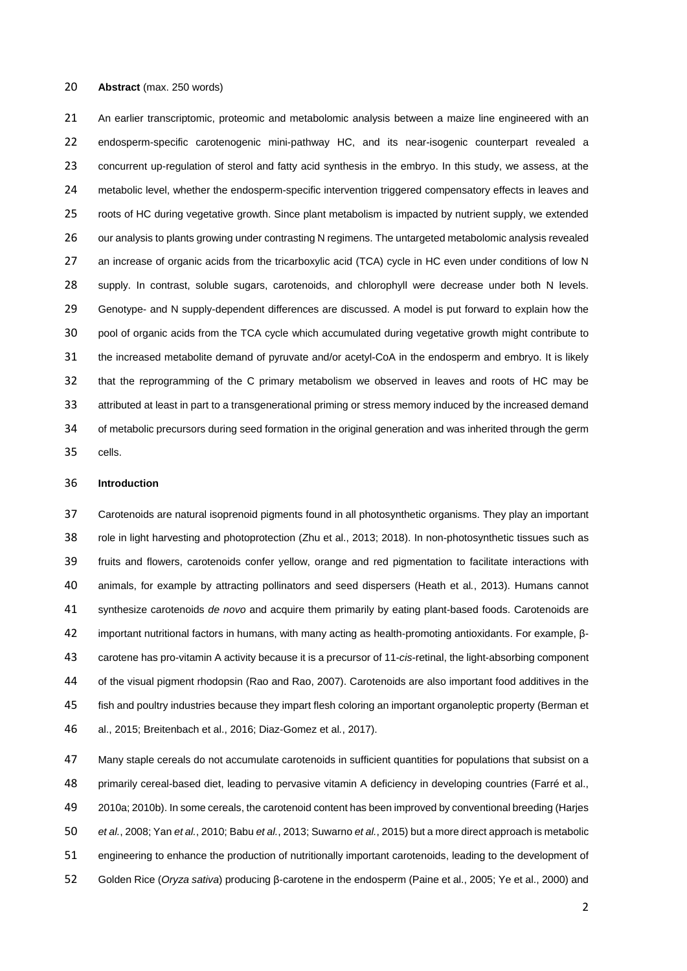#### **Abstract** (max. 250 words)

21 An earlier transcriptomic, proteomic and metabolomic analysis between a maize line engineered with an endosperm-specific carotenogenic mini-pathway HC, and its near-isogenic counterpart revealed a concurrent up-regulation of sterol and fatty acid synthesis in the embryo. In this study, we assess, at the metabolic level, whether the endosperm-specific intervention triggered compensatory effects in leaves and roots of HC during vegetative growth. Since plant metabolism is impacted by nutrient supply, we extended our analysis to plants growing under contrasting N regimens. The untargeted metabolomic analysis revealed 27 an increase of organic acids from the tricarboxylic acid (TCA) cycle in HC even under conditions of low N supply. In contrast, soluble sugars, carotenoids, and chlorophyll were decrease under both N levels. Genotype- and N supply-dependent differences are discussed. A model is put forward to explain how the pool of organic acids from the TCA cycle which accumulated during vegetative growth might contribute to the increased metabolite demand of pyruvate and/or acetyl-CoA in the endosperm and embryo. It is likely that the reprogramming of the C primary metabolism we observed in leaves and roots of HC may be attributed at least in part to a transgenerational priming or stress memory induced by the increased demand of metabolic precursors during seed formation in the original generation and was inherited through the germ cells.

#### **Introduction**

 Carotenoids are natural isoprenoid pigments found in all photosynthetic organisms. They play an important role in light harvesting and photoprotection (Zhu et al., 2013; 2018). In non-photosynthetic tissues such as fruits and flowers, carotenoids confer yellow, orange and red pigmentation to facilitate interactions with animals, for example by attracting pollinators and seed dispersers (Heath et al*.*, 2013). Humans cannot synthesize carotenoids *de novo* and acquire them primarily by eating plant-based foods. Carotenoids are important nutritional factors in humans, with many acting as health-promoting antioxidants. For example, β- carotene has pro-vitamin A activity because it is a precursor of 11-*cis*-retinal, the light-absorbing component of the visual pigment rhodopsin (Rao and Rao, 2007). Carotenoids are also important food additives in the fish and poultry industries because they impart flesh coloring an important organoleptic property (Berman et al., 2015; Breitenbach et al., 2016; Diaz-Gomez et al*.*, 2017).

 Many staple cereals do not accumulate carotenoids in sufficient quantities for populations that subsist on a primarily cereal-based diet, leading to pervasive vitamin A deficiency in developing countries (Farré et al., 2010a; 2010b). In some cereals, the carotenoid content has been improved by conventional breeding (Harjes *et al.*, 2008; Yan *et al.*, 2010; Babu *et al.*, 2013; Suwarno *et al.*, 2015) but a more direct approach is metabolic engineering to enhance the production of nutritionally important carotenoids, leading to the development of Golden Rice (*Oryza sativa*) producing β-carotene in the endosperm (Paine et al., 2005; Ye et al., 2000) and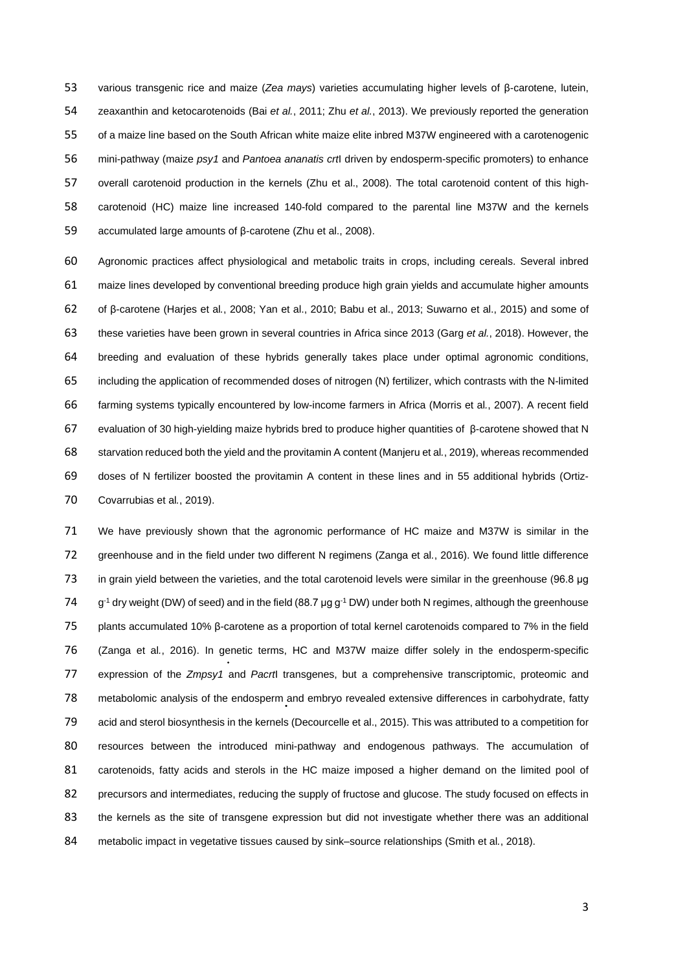various transgenic rice and maize (*Zea mays*) varieties accumulating higher levels of β-carotene, lutein, zeaxanthin and ketocarotenoids (Bai *et al.*, 2011; Zhu *et al.*, 2013). We previously reported the generation of a maize line based on the South African white maize elite inbred M37W engineered with a carotenogenic mini-pathway (maize *psy1* and *Pantoea ananatis crt*I driven by endosperm-specific promoters) to enhance overall carotenoid production in the kernels (Zhu et al., 2008). The total carotenoid content of this high- carotenoid (HC) maize line increased 140-fold compared to the parental line M37W and the kernels accumulated large amounts of β-carotene (Zhu et al., 2008).

 Agronomic practices affect physiological and metabolic traits in crops, including cereals. Several inbred maize lines developed by conventional breeding produce high grain yields and accumulate higher amounts of β-carotene (Harjes et al*.*, 2008; Yan et al., 2010; Babu et al., 2013; Suwarno et al., 2015) and some of these varieties have been grown in several countries in Africa since 2013 (Garg *et al.*, 2018). However, the breeding and evaluation of these hybrids generally takes place under optimal agronomic conditions, including the application of recommended doses of nitrogen (N) fertilizer, which contrasts with the N-limited farming systems typically encountered by low-income farmers in Africa (Morris et al*.*, 2007). A recent field evaluation of 30 high-yielding maize hybrids bred to produce higher quantities of β-carotene showed that N starvation reduced both the yield and the provitamin A content (Manjeru et al*.*, 2019), whereas recommended doses of N fertilizer boosted the provitamin A content in these lines and in 55 additional hybrids (Ortiz-Covarrubias et al*.*, 2019).

 We have previously shown that the agronomic performance of HC maize and M37W is similar in the greenhouse and in the field under two different N regimens (Zanga et al*.*, 2016). We found little difference in grain yield between the varieties, and the total carotenoid levels were similar in the greenhouse (96.8 μg g<sup>-1</sup> dry weight (DW) of seed) and in the field (88.7 µg g<sup>-1</sup> DW) under both N regimes, although the greenhouse plants accumulated 10% β-carotene as a proportion of total kernel carotenoids compared to 7% in the field (Zanga et al*.*, 2016). In genetic terms, HC and M37W maize differ solely in the endosperm-specific expression of the *Zmpsy1* and *Pacrt*I transgenes, but a comprehensive transcriptomic, proteomic and metabolomic analysis of the endosperm and embryo revealed extensive differences in carbohydrate, fatty acid and sterol biosynthesis in the kernels (Decourcelle et al., 2015). This was attributed to a competition for resources between the introduced mini-pathway and endogenous pathways. The accumulation of carotenoids, fatty acids and sterols in the HC maize imposed a higher demand on the limited pool of precursors and intermediates, reducing the supply of fructose and glucose. The study focused on effects in the kernels as the site of transgene expression but did not investigate whether there was an additional metabolic impact in vegetative tissues caused by sink–source relationships (Smith et al*.*, 2018).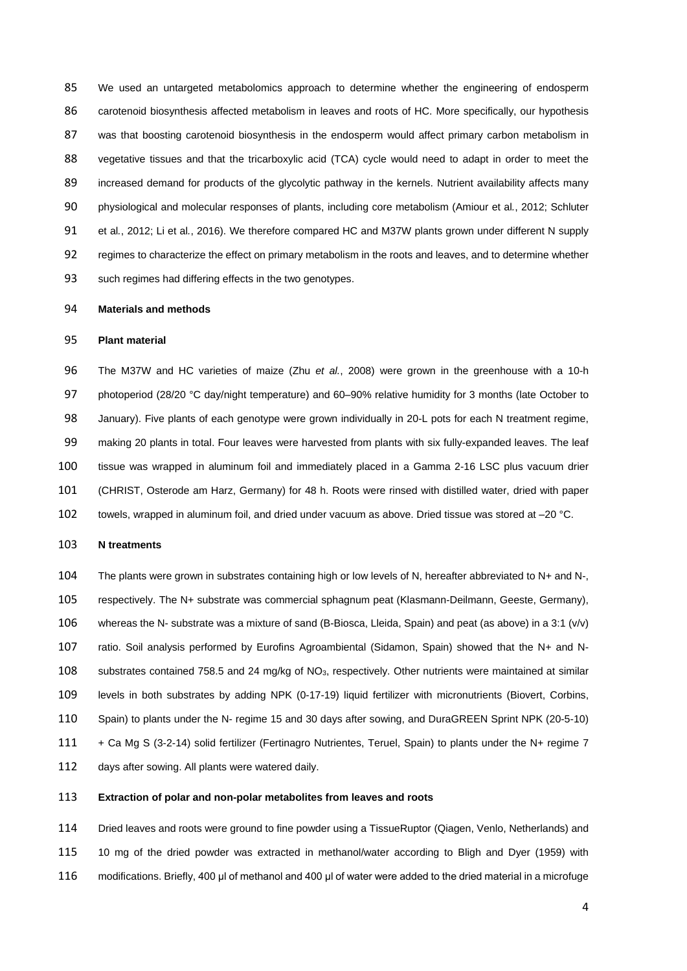We used an untargeted metabolomics approach to determine whether the engineering of endosperm carotenoid biosynthesis affected metabolism in leaves and roots of HC. More specifically, our hypothesis was that boosting carotenoid biosynthesis in the endosperm would affect primary carbon metabolism in vegetative tissues and that the tricarboxylic acid (TCA) cycle would need to adapt in order to meet the 89 increased demand for products of the glycolytic pathway in the kernels. Nutrient availability affects many physiological and molecular responses of plants, including core metabolism (Amiour et al*.*, 2012; Schluter et al*.*, 2012; Li et al*.*, 2016). We therefore compared HC and M37W plants grown under different N supply regimes to characterize the effect on primary metabolism in the roots and leaves, and to determine whether such regimes had differing effects in the two genotypes.

# **Materials and methods**

#### **Plant material**

 The M37W and HC varieties of maize (Zhu *et al.*, 2008) were grown in the greenhouse with a 10-h 97 photoperiod (28/20 °C day/night temperature) and 60–90% relative humidity for 3 months (late October to January). Five plants of each genotype were grown individually in 20-L pots for each N treatment regime, making 20 plants in total. Four leaves were harvested from plants with six fully-expanded leaves. The leaf tissue was wrapped in aluminum foil and immediately placed in a Gamma 2-16 LSC plus vacuum drier (CHRIST, Osterode am Harz, Germany) for 48 h. Roots were rinsed with distilled water, dried with paper 102 towels, wrapped in aluminum foil, and dried under vacuum as above. Dried tissue was stored at –20 °C.

#### **N treatments**

 The plants were grown in substrates containing high or low levels of N, hereafter abbreviated to N+ and N-, respectively. The N+ substrate was commercial sphagnum peat (Klasmann-Deilmann, Geeste, Germany), whereas the N- substrate was a mixture of sand (B-Biosca, Lleida, Spain) and peat (as above) in a 3:1 (v/v) ratio. Soil analysis performed by Eurofins Agroambiental (Sidamon, Spain) showed that the N+ and N- substrates contained 758.5 and 24 mg/kg of NO3, respectively. Other nutrients were maintained at similar levels in both substrates by adding NPK (0-17-19) liquid fertilizer with micronutrients (Biovert, Corbins, Spain) to plants under the N- regime 15 and 30 days after sowing, and DuraGREEN Sprint NPK (20-5-10) + Ca Mg S (3-2-14) solid fertilizer (Fertinagro Nutrientes, Teruel, Spain) to plants under the N+ regime 7 days after sowing. All plants were watered daily.

## **Extraction of polar and non-polar metabolites from leaves and roots**

 Dried leaves and roots were ground to fine powder using a TissueRuptor (Qiagen, Venlo, Netherlands) and 10 mg of the dried powder was extracted in methanol/water according to Bligh and Dyer (1959) with modifications. Briefly, 400 μl of methanol and 400 μl of water were added to the dried material in a microfuge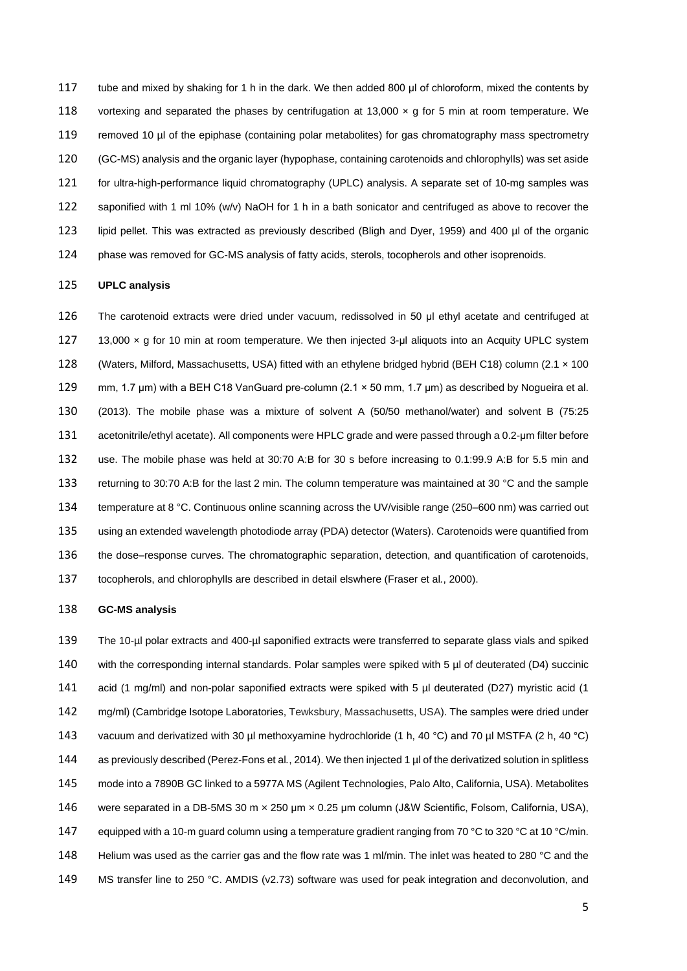117 tube and mixed by shaking for 1 h in the dark. We then added 800 μl of chloroform, mixed the contents by 118 vortexing and separated the phases by centrifugation at 13,000  $\times$  g for 5 min at room temperature. We removed 10 µl of the epiphase (containing polar metabolites) for gas chromatography mass spectrometry (GC-MS) analysis and the organic layer (hypophase, containing carotenoids and chlorophylls) was set aside for ultra-high-performance liquid chromatography (UPLC) analysis. A separate set of 10-mg samples was saponified with 1 ml 10% (w/v) NaOH for 1 h in a bath sonicator and centrifuged as above to recover the lipid pellet. This was extracted as previously described (Bligh and Dyer, 1959) and 400 µl of the organic phase was removed for GC-MS analysis of fatty acids, sterols, tocopherols and other isoprenoids.

## **UPLC analysis**

 The carotenoid extracts were dried under vacuum, redissolved in 50 μl ethyl acetate and centrifuged at 127 13,000 x g for 10 min at room temperature. We then injected 3-µl aliquots into an Acquity UPLC system (Waters, Milford, Massachusetts, USA) fitted with an ethylene bridged hybrid (BEH C18) column (2.1 × 100 mm, 1.7 μm) with a BEH C18 VanGuard pre-column (2.1 × 50 mm, 1.7 μm) as described by Nogueira et al. (2013). The mobile phase was a mixture of solvent A (50/50 methanol/water) and solvent B (75:25 acetonitrile/ethyl acetate). All components were HPLC grade and were passed through a 0.2-μm filter before use. The mobile phase was held at 30:70 A:B for 30 s before increasing to 0.1:99.9 A:B for 5.5 min and 133 returning to 30:70 A:B for the last 2 min. The column temperature was maintained at 30 °C and the sample temperature at 8 °C. Continuous online scanning across the UV/visible range (250–600 nm) was carried out using an extended wavelength photodiode array (PDA) detector (Waters). Carotenoids were quantified from the dose–response curves. The chromatographic separation, detection, and quantification of carotenoids, tocopherols, and chlorophylls are described in detail elswhere (Fraser et al*.*, 2000).

#### **GC-MS analysis**

 The 10-µl polar extracts and 400-µl saponified extracts were transferred to separate glass vials and spiked 140 with the corresponding internal standards. Polar samples were spiked with 5 µl of deuterated (D4) succinic 141 acid (1 mg/ml) and non-polar saponified extracts were spiked with 5 µl deuterated (D27) myristic acid (1 mg/ml) (Cambridge Isotope Laboratories, Tewksbury, Massachusetts, USA). The samples were dried under 143 vacuum and derivatized with 30 µl methoxyamine hydrochloride (1 h, 40 °C) and 70 µl MSTFA (2 h, 40 °C) as previously described (Perez-Fons et al*.*, 2014). We then injected 1 µl of the derivatized solution in splitless mode into a 7890B GC linked to a 5977A MS (Agilent Technologies, Palo Alto, California, USA). Metabolites were separated in a DB-5MS 30 m × 250 μm × 0.25 μm column (J&W Scientific, Folsom, California, USA), equipped with a 10-m guard column using a temperature gradient ranging from 70 °C to 320 °C at 10 °C/min. 148 Helium was used as the carrier gas and the flow rate was 1 ml/min. The inlet was heated to 280 °C and the MS transfer line to 250 °C. AMDIS (v2.73) software was used for peak integration and deconvolution, and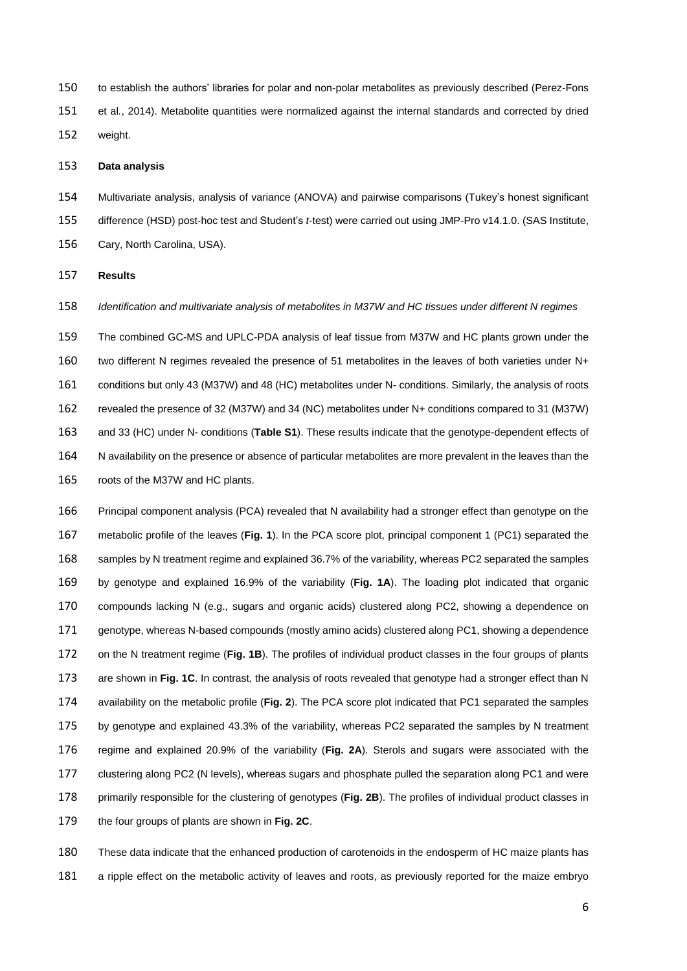to establish the authors' libraries for polar and non-polar metabolites as previously described (Perez-Fons et al*.*, 2014). Metabolite quantities were normalized against the internal standards and corrected by dried weight.

#### **Data analysis**

Cary, North Carolina, USA).

 Multivariate analysis, analysis of variance (ANOVA) and pairwise comparisons (Tukey's honest significant difference (HSD) post-hoc test and Student's *t*-test) were carried out using JMP-Pro v14.1.0. (SAS Institute,

**Results** 

*Identification and multivariate analysis of metabolites in M37W and HC tissues under different N regimes*

 The combined GC-MS and UPLC-PDA analysis of leaf tissue from M37W and HC plants grown under the two different N regimes revealed the presence of 51 metabolites in the leaves of both varieties under N+ conditions but only 43 (M37W) and 48 (HC) metabolites under N- conditions. Similarly, the analysis of roots revealed the presence of 32 (M37W) and 34 (NC) metabolites under N+ conditions compared to 31 (M37W) and 33 (HC) under N- conditions (**Table S1**). These results indicate that the genotype-dependent effects of 164 N availability on the presence or absence of particular metabolites are more prevalent in the leaves than the roots of the M37W and HC plants.

 Principal component analysis (PCA) revealed that N availability had a stronger effect than genotype on the metabolic profile of the leaves (**Fig. 1**). In the PCA score plot, principal component 1 (PC1) separated the samples by N treatment regime and explained 36.7% of the variability, whereas PC2 separated the samples by genotype and explained 16.9% of the variability (**Fig. 1A**). The loading plot indicated that organic compounds lacking N (e.g., sugars and organic acids) clustered along PC2, showing a dependence on genotype, whereas N-based compounds (mostly amino acids) clustered along PC1, showing a dependence on the N treatment regime (**Fig. 1B**). The profiles of individual product classes in the four groups of plants are shown in **Fig. 1C**. In contrast, the analysis of roots revealed that genotype had a stronger effect than N availability on the metabolic profile (**Fig. 2**). The PCA score plot indicated that PC1 separated the samples by genotype and explained 43.3% of the variability, whereas PC2 separated the samples by N treatment regime and explained 20.9% of the variability (**Fig. 2A**). Sterols and sugars were associated with the clustering along PC2 (N levels), whereas sugars and phosphate pulled the separation along PC1 and were primarily responsible for the clustering of genotypes (**Fig. 2B**). The profiles of individual product classes in the four groups of plants are shown in **Fig. 2C**.

 These data indicate that the enhanced production of carotenoids in the endosperm of HC maize plants has a ripple effect on the metabolic activity of leaves and roots, as previously reported for the maize embryo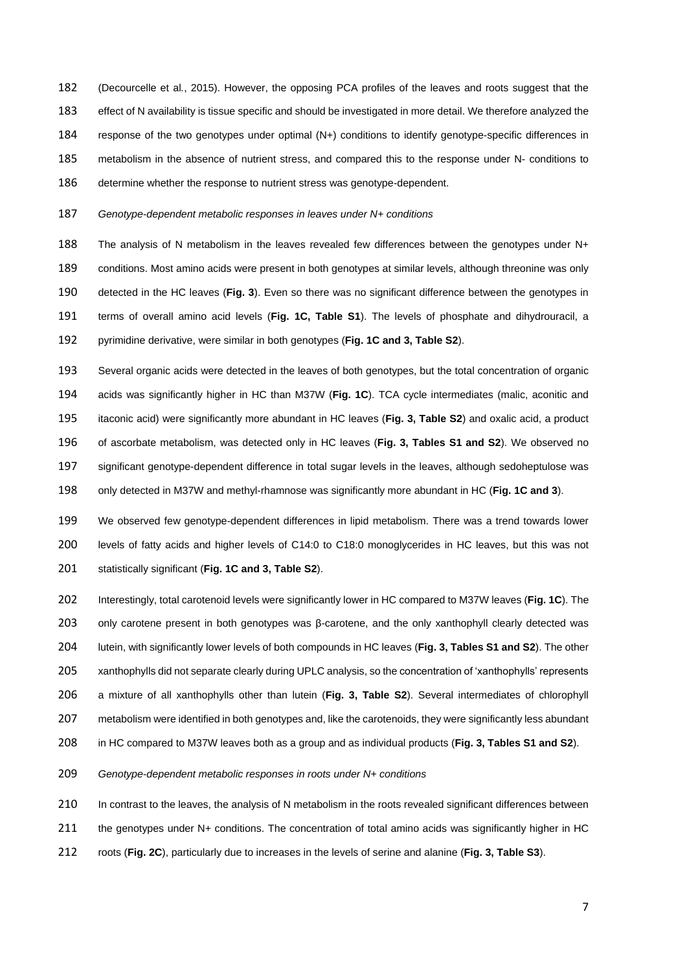(Decourcelle et al*.*, 2015). However, the opposing PCA profiles of the leaves and roots suggest that the effect of N availability is tissue specific and should be investigated in more detail. We therefore analyzed the response of the two genotypes under optimal (N+) conditions to identify genotype-specific differences in metabolism in the absence of nutrient stress, and compared this to the response under N- conditions to determine whether the response to nutrient stress was genotype-dependent.

*Genotype-dependent metabolic responses in leaves under N+ conditions*

 The analysis of N metabolism in the leaves revealed few differences between the genotypes under N+ conditions. Most amino acids were present in both genotypes at similar levels, although threonine was only detected in the HC leaves (**Fig. 3**). Even so there was no significant difference between the genotypes in terms of overall amino acid levels (**Fig. 1C, Table S1**). The levels of phosphate and dihydrouracil, a pyrimidine derivative, were similar in both genotypes (**Fig. 1C and 3, Table S2**).

 Several organic acids were detected in the leaves of both genotypes, but the total concentration of organic acids was significantly higher in HC than M37W (**Fig. 1C**). TCA cycle intermediates (malic, aconitic and itaconic acid) were significantly more abundant in HC leaves (**Fig. 3, Table S2**) and oxalic acid, a product of ascorbate metabolism, was detected only in HC leaves (**Fig. 3, Tables S1 and S2**). We observed no significant genotype-dependent difference in total sugar levels in the leaves, although sedoheptulose was only detected in M37W and methyl-rhamnose was significantly more abundant in HC (**Fig. 1C and 3**).

 We observed few genotype-dependent differences in lipid metabolism. There was a trend towards lower levels of fatty acids and higher levels of C14:0 to C18:0 monoglycerides in HC leaves, but this was not statistically significant (**Fig. 1C and 3, Table S2**).

 Interestingly, total carotenoid levels were significantly lower in HC compared to M37W leaves (**Fig. 1C**). The only carotene present in both genotypes was β-carotene, and the only xanthophyll clearly detected was lutein, with significantly lower levels of both compounds in HC leaves (**Fig. 3, Tables S1 and S2**). The other xanthophylls did not separate clearly during UPLC analysis, so the concentration of 'xanthophylls' represents a mixture of all xanthophylls other than lutein (**Fig. 3, Table S2**). Several intermediates of chlorophyll metabolism were identified in both genotypes and, like the carotenoids, they were significantly less abundant in HC compared to M37W leaves both as a group and as individual products (**Fig. 3, Tables S1 and S2**).

*Genotype-dependent metabolic responses in roots under N+ conditions*

210 In contrast to the leaves, the analysis of N metabolism in the roots revealed significant differences between

211 the genotypes under N+ conditions. The concentration of total amino acids was significantly higher in HC

roots (**Fig. 2C**), particularly due to increases in the levels of serine and alanine (**Fig. 3, Table S3**).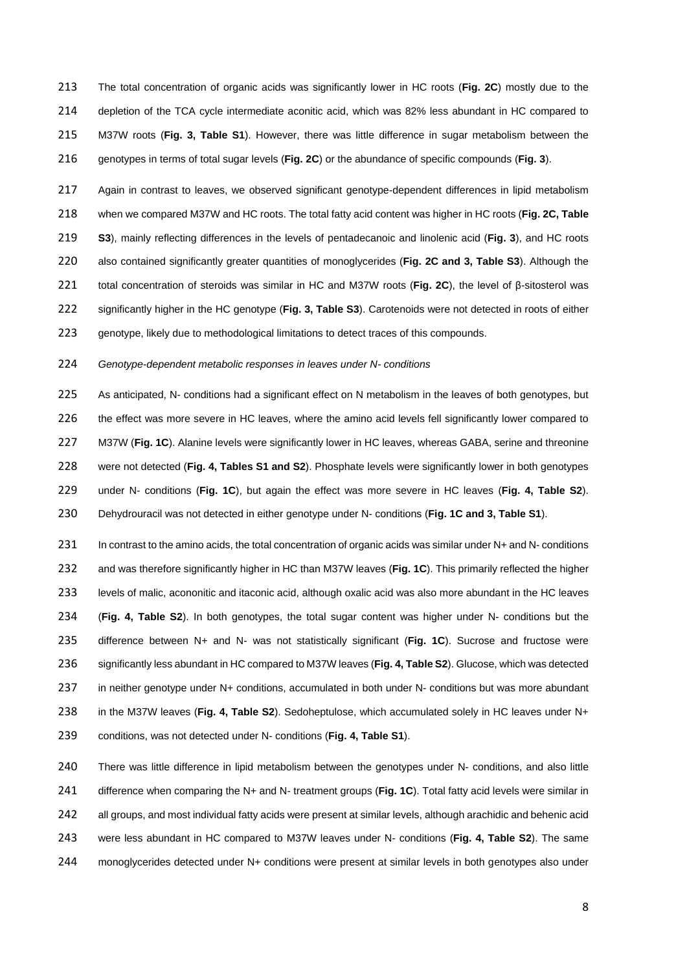The total concentration of organic acids was significantly lower in HC roots (**Fig. 2C**) mostly due to the depletion of the TCA cycle intermediate aconitic acid, which was 82% less abundant in HC compared to M37W roots (**Fig. 3, Table S1**). However, there was little difference in sugar metabolism between the genotypes in terms of total sugar levels (**Fig. 2C**) or the abundance of specific compounds (**Fig. 3**).

 Again in contrast to leaves, we observed significant genotype-dependent differences in lipid metabolism when we compared M37W and HC roots. The total fatty acid content was higher in HC roots (**Fig. 2C, Table S3**), mainly reflecting differences in the levels of pentadecanoic and linolenic acid (**Fig. 3**), and HC roots also contained significantly greater quantities of monoglycerides (**Fig. 2C and 3, Table S3**). Although the total concentration of steroids was similar in HC and M37W roots (**Fig. 2C**), the level of β-sitosterol was significantly higher in the HC genotype (**Fig. 3, Table S3**). Carotenoids were not detected in roots of either 223 genotype, likely due to methodological limitations to detect traces of this compounds.

*Genotype-dependent metabolic responses in leaves under N- conditions*

225 As anticipated, N- conditions had a significant effect on N metabolism in the leaves of both genotypes, but the effect was more severe in HC leaves, where the amino acid levels fell significantly lower compared to M37W (**Fig. 1C**). Alanine levels were significantly lower in HC leaves, whereas GABA, serine and threonine were not detected (**Fig. 4, Tables S1 and S2**). Phosphate levels were significantly lower in both genotypes under N- conditions (**Fig. 1C**), but again the effect was more severe in HC leaves (**Fig. 4, Table S2**). Dehydrouracil was not detected in either genotype under N- conditions (**Fig. 1C and 3, Table S1**).

 In contrast to the amino acids, the total concentration of organic acids was similar under N+ and N- conditions and was therefore significantly higher in HC than M37W leaves (**Fig. 1C**). This primarily reflected the higher levels of malic, acononitic and itaconic acid, although oxalic acid was also more abundant in the HC leaves (**Fig. 4, Table S2**). In both genotypes, the total sugar content was higher under N- conditions but the difference between N+ and N- was not statistically significant (**Fig. 1C**). Sucrose and fructose were significantly less abundant in HC compared to M37W leaves (**Fig. 4, Table S2**). Glucose, which was detected in neither genotype under N+ conditions, accumulated in both under N- conditions but was more abundant in the M37W leaves (**Fig. 4, Table S2**). Sedoheptulose, which accumulated solely in HC leaves under N+ conditions, was not detected under N- conditions (**Fig. 4, Table S1**).

 There was little difference in lipid metabolism between the genotypes under N- conditions, and also little difference when comparing the N+ and N- treatment groups (**Fig. 1C**). Total fatty acid levels were similar in all groups, and most individual fatty acids were present at similar levels, although arachidic and behenic acid were less abundant in HC compared to M37W leaves under N- conditions (**Fig. 4, Table S2**). The same 244 monoglycerides detected under N+ conditions were present at similar levels in both genotypes also under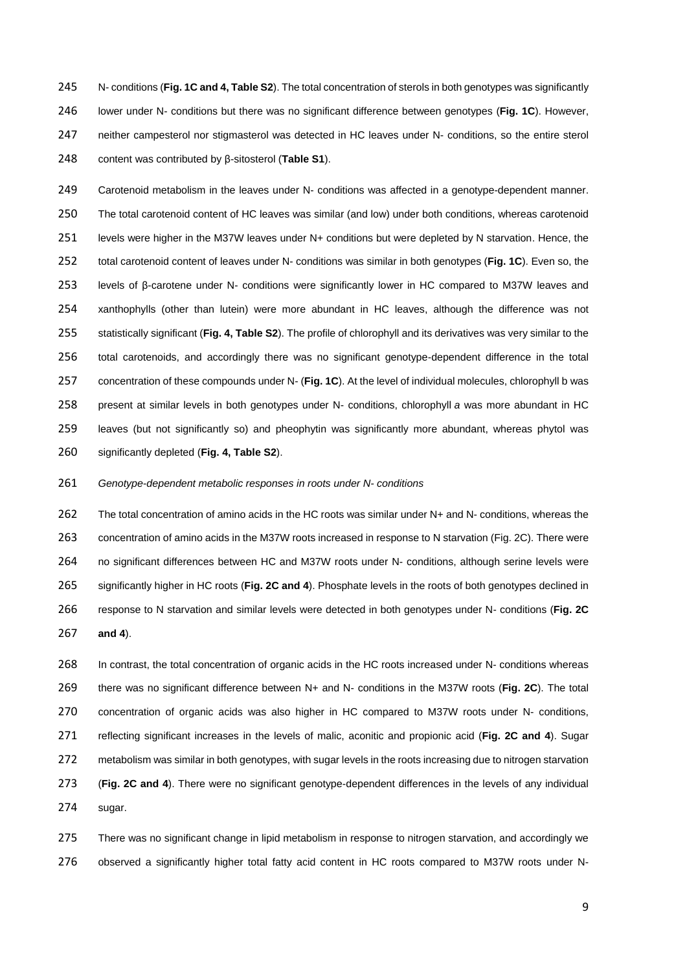N- conditions (**Fig. 1C and 4, Table S2**). The total concentration of sterols in both genotypes was significantly lower under N- conditions but there was no significant difference between genotypes (**Fig. 1C**). However, neither campesterol nor stigmasterol was detected in HC leaves under N- conditions, so the entire sterol content was contributed by β-sitosterol (**Table S1**).

 Carotenoid metabolism in the leaves under N- conditions was affected in a genotype-dependent manner. The total carotenoid content of HC leaves was similar (and low) under both conditions, whereas carotenoid levels were higher in the M37W leaves under N+ conditions but were depleted by N starvation. Hence, the total carotenoid content of leaves under N- conditions was similar in both genotypes (**Fig. 1C**). Even so, the levels of β-carotene under N- conditions were significantly lower in HC compared to M37W leaves and xanthophylls (other than lutein) were more abundant in HC leaves, although the difference was not statistically significant (**Fig. 4, Table S2**). The profile of chlorophyll and its derivatives was very similar to the total carotenoids, and accordingly there was no significant genotype-dependent difference in the total concentration of these compounds under N- (**Fig. 1C**). At the level of individual molecules, chlorophyll b was present at similar levels in both genotypes under N- conditions, chlorophyll *a* was more abundant in HC leaves (but not significantly so) and pheophytin was significantly more abundant, whereas phytol was significantly depleted (**Fig. 4, Table S2**).

*Genotype-dependent metabolic responses in roots under N- conditions*

 The total concentration of amino acids in the HC roots was similar under N+ and N- conditions, whereas the concentration of amino acids in the M37W roots increased in response to N starvation (Fig. 2C). There were no significant differences between HC and M37W roots under N- conditions, although serine levels were significantly higher in HC roots (**Fig. 2C and 4**). Phosphate levels in the roots of both genotypes declined in response to N starvation and similar levels were detected in both genotypes under N- conditions (**Fig. 2C and 4**).

 In contrast, the total concentration of organic acids in the HC roots increased under N- conditions whereas there was no significant difference between N+ and N- conditions in the M37W roots (**Fig. 2C**). The total concentration of organic acids was also higher in HC compared to M37W roots under N- conditions, reflecting significant increases in the levels of malic, aconitic and propionic acid (**Fig. 2C and 4**). Sugar metabolism was similar in both genotypes, with sugar levels in the roots increasing due to nitrogen starvation (**Fig. 2C and 4**). There were no significant genotype-dependent differences in the levels of any individual sugar.

 There was no significant change in lipid metabolism in response to nitrogen starvation, and accordingly we observed a significantly higher total fatty acid content in HC roots compared to M37W roots under N-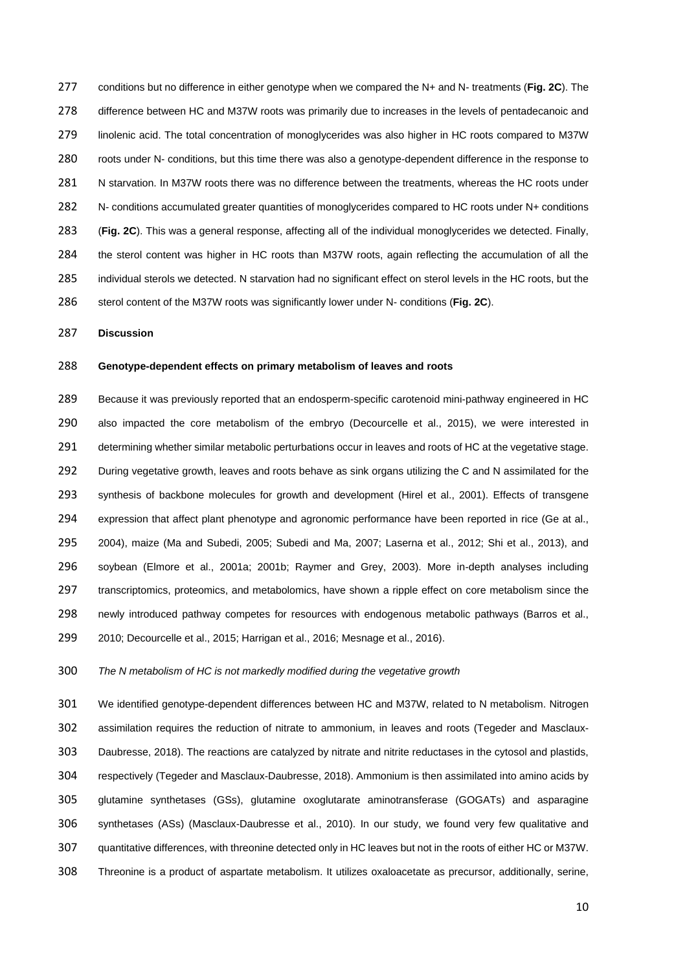conditions but no difference in either genotype when we compared the N+ and N- treatments (**Fig. 2C**). The difference between HC and M37W roots was primarily due to increases in the levels of pentadecanoic and linolenic acid. The total concentration of monoglycerides was also higher in HC roots compared to M37W roots under N- conditions, but this time there was also a genotype-dependent difference in the response to 281 N starvation. In M37W roots there was no difference between the treatments, whereas the HC roots under 282 N- conditions accumulated greater quantities of monoglycerides compared to HC roots under N+ conditions (**Fig. 2C**). This was a general response, affecting all of the individual monoglycerides we detected. Finally, the sterol content was higher in HC roots than M37W roots, again reflecting the accumulation of all the individual sterols we detected. N starvation had no significant effect on sterol levels in the HC roots, but the sterol content of the M37W roots was significantly lower under N- conditions (**Fig. 2C**).

#### **Discussion**

#### **Genotype-dependent effects on primary metabolism of leaves and roots**

 Because it was previously reported that an endosperm-specific carotenoid mini-pathway engineered in HC also impacted the core metabolism of the embryo (Decourcelle et al., 2015), we were interested in 291 determining whether similar metabolic perturbations occur in leaves and roots of HC at the vegetative stage. During vegetative growth, leaves and roots behave as sink organs utilizing the C and N assimilated for the synthesis of backbone molecules for growth and development (Hirel et al., 2001). Effects of transgene expression that affect plant phenotype and agronomic performance have been reported in rice (Ge at al., 2004), maize (Ma and Subedi, 2005; Subedi and Ma, 2007; Laserna et al., 2012; Shi et al., 2013), and soybean (Elmore et al., 2001a; 2001b; Raymer and Grey, 2003). More in-depth analyses including transcriptomics, proteomics, and metabolomics, have shown a ripple effect on core metabolism since the newly introduced pathway competes for resources with endogenous metabolic pathways (Barros et al., 2010; Decourcelle et al., 2015; Harrigan et al., 2016; Mesnage et al., 2016).

*The N metabolism of HC is not markedly modified during the vegetative growth*

 We identified genotype-dependent differences between HC and M37W, related to N metabolism. Nitrogen assimilation requires the reduction of nitrate to ammonium, in leaves and roots (Tegeder and Masclaux- Daubresse, 2018). The reactions are catalyzed by nitrate and nitrite reductases in the cytosol and plastids, respectively (Tegeder and Masclaux-Daubresse, 2018). Ammonium is then assimilated into amino acids by glutamine synthetases (GSs), glutamine oxoglutarate aminotransferase (GOGATs) and asparagine synthetases (ASs) (Masclaux-Daubresse et al., 2010). In our study, we found very few qualitative and quantitative differences, with threonine detected only in HC leaves but not in the roots of either HC or M37W. Threonine is a product of aspartate metabolism. It utilizes oxaloacetate as precursor, additionally, serine,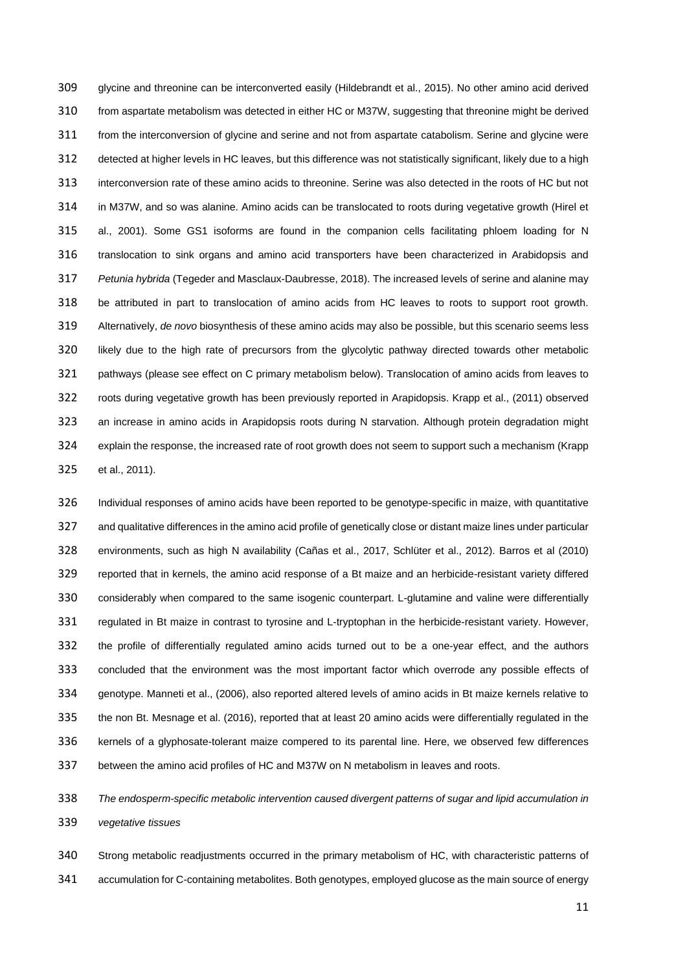glycine and threonine can be interconverted easily (Hildebrandt et al., 2015). No other amino acid derived from aspartate metabolism was detected in either HC or M37W, suggesting that threonine might be derived from the interconversion of glycine and serine and not from aspartate catabolism. Serine and glycine were detected at higher levels in HC leaves, but this difference was not statistically significant, likely due to a high interconversion rate of these amino acids to threonine. Serine was also detected in the roots of HC but not in M37W, and so was alanine. Amino acids can be translocated to roots during vegetative growth (Hirel et al., 2001). Some GS1 isoforms are found in the companion cells facilitating phloem loading for N translocation to sink organs and amino acid transporters have been characterized in Arabidopsis and *Petunia hybrida* (Tegeder and Masclaux-Daubresse, 2018). The increased levels of serine and alanine may be attributed in part to translocation of amino acids from HC leaves to roots to support root growth. Alternatively, *de novo* biosynthesis of these amino acids may also be possible, but this scenario seems less likely due to the high rate of precursors from the glycolytic pathway directed towards other metabolic pathways (please see effect on C primary metabolism below). Translocation of amino acids from leaves to roots during vegetative growth has been previously reported in Arapidopsis. Krapp et al., (2011) observed an increase in amino acids in Arapidopsis roots during N starvation. Although protein degradation might explain the response, the increased rate of root growth does not seem to support such a mechanism (Krapp et al., 2011).

 Individual responses of amino acids have been reported to be genotype-specific in maize, with quantitative and qualitative differences in the amino acid profile of genetically close or distant maize lines under particular environments, such as high N availability (Cañas et al., 2017, Schlüter et al., 2012). Barros et al (2010) reported that in kernels, the amino acid response of a Bt maize and an herbicide-resistant variety differed considerably when compared to the same isogenic counterpart. L-glutamine and valine were differentially regulated in Bt maize in contrast to tyrosine and L-tryptophan in the herbicide-resistant variety. However, the profile of differentially regulated amino acids turned out to be a one-year effect, and the authors concluded that the environment was the most important factor which overrode any possible effects of genotype. Manneti et al., (2006), also reported altered levels of amino acids in Bt maize kernels relative to the non Bt. Mesnage et al. (2016), reported that at least 20 amino acids were differentially regulated in the kernels of a glyphosate-tolerant maize compered to its parental line. Here, we observed few differences between the amino acid profiles of HC and M37W on N metabolism in leaves and roots.

 *The endosperm-specific metabolic intervention caused divergent patterns of sugar and lipid accumulation in vegetative tissues*

 Strong metabolic readjustments occurred in the primary metabolism of HC, with characteristic patterns of accumulation for C-containing metabolites. Both genotypes, employed glucose as the main source of energy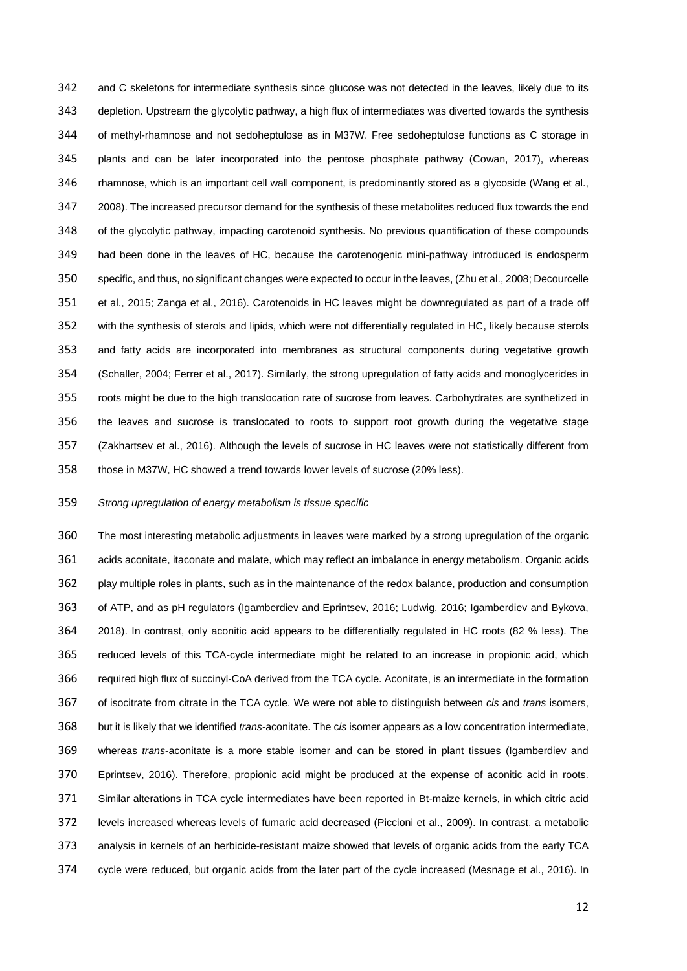and C skeletons for intermediate synthesis since glucose was not detected in the leaves, likely due to its depletion. Upstream the glycolytic pathway, a high flux of intermediates was diverted towards the synthesis of methyl-rhamnose and not sedoheptulose as in M37W. Free sedoheptulose functions as C storage in plants and can be later incorporated into the pentose phosphate pathway (Cowan, 2017), whereas rhamnose, which is an important cell wall component, is predominantly stored as a glycoside (Wang et al., 2008). The increased precursor demand for the synthesis of these metabolites reduced flux towards the end of the glycolytic pathway, impacting carotenoid synthesis. No previous quantification of these compounds had been done in the leaves of HC, because the carotenogenic mini-pathway introduced is endosperm specific, and thus, no significant changes were expected to occur in the leaves, (Zhu et al., 2008; Decourcelle et al., 2015; Zanga et al., 2016). Carotenoids in HC leaves might be downregulated as part of a trade off with the synthesis of sterols and lipids, which were not differentially regulated in HC, likely because sterols and fatty acids are incorporated into membranes as structural components during vegetative growth (Schaller, 2004; Ferrer et al., 2017). Similarly, the strong upregulation of fatty acids and monoglycerides in roots might be due to the high translocation rate of sucrose from leaves. Carbohydrates are synthetized in the leaves and sucrose is translocated to roots to support root growth during the vegetative stage (Zakhartsev et al., 2016). Although the levels of sucrose in HC leaves were not statistically different from those in M37W, HC showed a trend towards lower levels of sucrose (20% less).

## *Strong upregulation of energy metabolism is tissue specific*

 The most interesting metabolic adjustments in leaves were marked by a strong upregulation of the organic acids aconitate, itaconate and malate, which may reflect an imbalance in energy metabolism. Organic acids play multiple roles in plants, such as in the maintenance of the redox balance, production and consumption of ATP, and as pH regulators (Igamberdiev and Eprintsev, 2016; Ludwig, 2016; Igamberdiev and Bykova, 2018). In contrast, only aconitic acid appears to be differentially regulated in HC roots (82 % less). The reduced levels of this TCA-cycle intermediate might be related to an increase in propionic acid, which required high flux of succinyl-CoA derived from the TCA cycle. Aconitate, is an intermediate in the formation of isocitrate from citrate in the TCA cycle. We were not able to distinguish between *cis* and *trans* isomers, but it is likely that we identified *trans-*aconitate. The c*is* isomer appears as a low concentration intermediate, whereas *trans*-aconitate is a more stable isomer and can be stored in plant tissues (Igamberdiev and Eprintsev, 2016). Therefore, propionic acid might be produced at the expense of aconitic acid in roots. Similar alterations in TCA cycle intermediates have been reported in Bt-maize kernels, in which citric acid levels increased whereas levels of fumaric acid decreased (Piccioni et al., 2009). In contrast, a metabolic analysis in kernels of an herbicide-resistant maize showed that levels of organic acids from the early TCA cycle were reduced, but organic acids from the later part of the cycle increased (Mesnage et al., 2016). In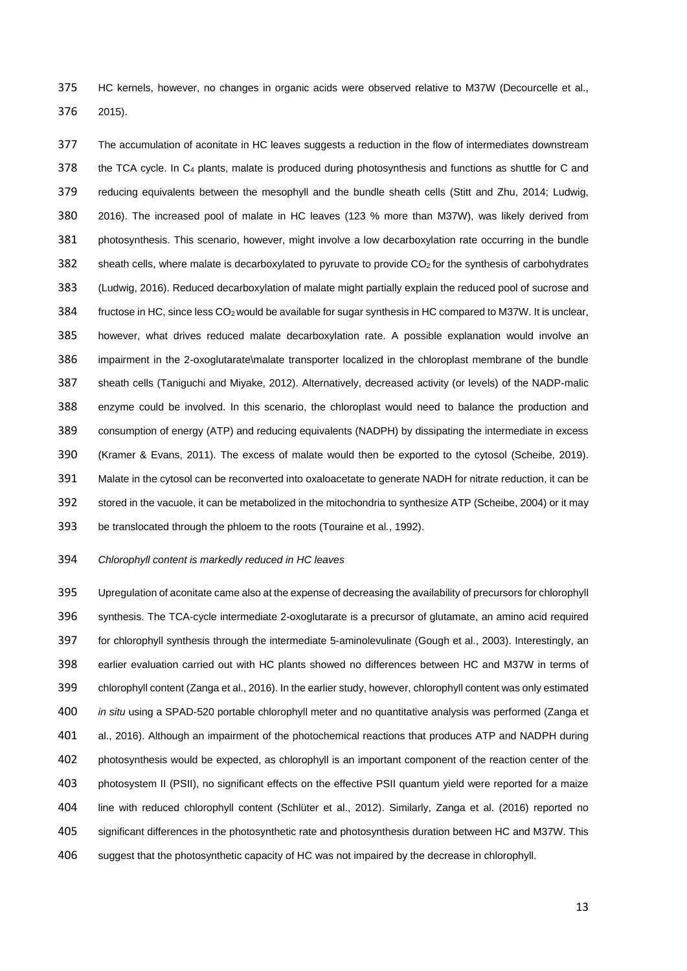HC kernels, however, no changes in organic acids were observed relative to M37W (Decourcelle et al., 2015).

377 The accumulation of aconitate in HC leaves suggests a reduction in the flow of intermediates downstream 378 the TCA cycle. In C<sub>4</sub> plants, malate is produced during photosynthesis and functions as shuttle for C and reducing equivalents between the mesophyll and the bundle sheath cells (Stitt and Zhu, 2014; Ludwig, 2016). The increased pool of malate in HC leaves (123 % more than M37W), was likely derived from photosynthesis. This scenario, however, might involve a low decarboxylation rate occurring in the bundle 382 sheath cells, where malate is decarboxylated to pyruvate to provide CO<sub>2</sub> for the synthesis of carbohydrates (Ludwig, 2016). Reduced decarboxylation of malate might partially explain the reduced pool of sucrose and fructose in HC, since less CO2 would be available for sugar synthesis in HC compared to M37W. It is unclear, however, what drives reduced malate decarboxylation rate. A possible explanation would involve an impairment in the 2-oxoglutarate\malate transporter localized in the chloroplast membrane of the bundle sheath cells (Taniguchi and Miyake, 2012). Alternatively, decreased activity (or levels) of the NADP-malic enzyme could be involved. In this scenario, the chloroplast would need to balance the production and consumption of energy (ATP) and reducing equivalents (NADPH) by dissipating the intermediate in excess (Kramer & Evans, 2011). The excess of malate would then be exported to the cytosol (Scheibe, 2019). Malate in the cytosol can be reconverted into oxaloacetate to generate NADH for nitrate reduction, it can be stored in the vacuole, it can be metabolized in the mitochondria to synthesize ATP (Scheibe, 2004) or it may be translocated through the phloem to the roots (Touraine et al*.*, 1992).

#### *Chlorophyll content is markedly reduced in HC leaves*

 Upregulation of aconitate came also at the expense of decreasing the availability of precursors for chlorophyll synthesis. The TCA-cycle intermediate 2-oxoglutarate is a precursor of glutamate, an amino acid required for chlorophyll synthesis through the intermediate 5-aminolevulinate (Gough et al., 2003). Interestingly, an earlier evaluation carried out with HC plants showed no differences between HC and M37W in terms of chlorophyll content (Zanga et al., 2016). In the earlier study, however, chlorophyll content was only estimated *in situ* using a SPAD-520 portable chlorophyll meter and no quantitative analysis was performed (Zanga et al., 2016). Although an impairment of the photochemical reactions that produces ATP and NADPH during photosynthesis would be expected, as chlorophyll is an important component of the reaction center of the photosystem II (PSII), no significant effects on the effective PSII quantum yield were reported for a maize line with reduced chlorophyll content (Schlüter et al., 2012). Similarly, Zanga et al. (2016) reported no significant differences in the photosynthetic rate and photosynthesis duration between HC and M37W. This suggest that the photosynthetic capacity of HC was not impaired by the decrease in chlorophyll.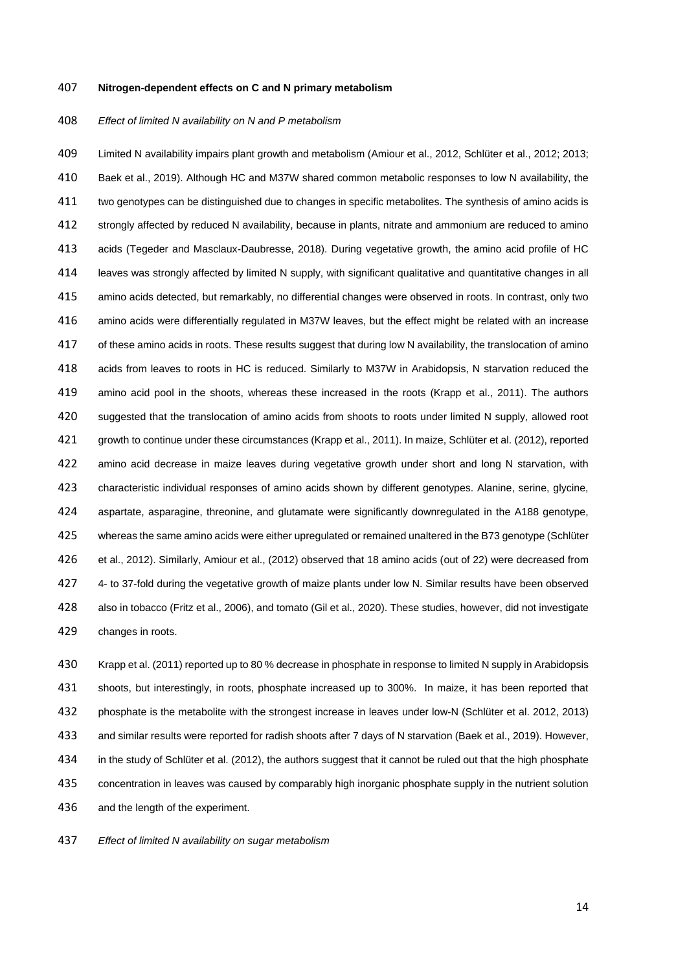#### **Nitrogen-dependent effects on C and N primary metabolism**

#### *Effect of limited N availability on N and P metabolism*

 Limited N availability impairs plant growth and metabolism (Amiour et al., 2012, Schlüter et al., 2012; 2013; Baek et al., 2019). Although HC and M37W shared common metabolic responses to low N availability, the two genotypes can be distinguished due to changes in specific metabolites. The synthesis of amino acids is strongly affected by reduced N availability, because in plants, nitrate and ammonium are reduced to amino acids (Tegeder and Masclaux-Daubresse, 2018). During vegetative growth, the amino acid profile of HC leaves was strongly affected by limited N supply, with significant qualitative and quantitative changes in all amino acids detected, but remarkably, no differential changes were observed in roots. In contrast, only two amino acids were differentially regulated in M37W leaves, but the effect might be related with an increase 417 of these amino acids in roots. These results suggest that during low N availability, the translocation of amino acids from leaves to roots in HC is reduced. Similarly to M37W in Arabidopsis, N starvation reduced the amino acid pool in the shoots, whereas these increased in the roots (Krapp et al., 2011). The authors suggested that the translocation of amino acids from shoots to roots under limited N supply, allowed root growth to continue under these circumstances (Krapp et al., 2011). In maize, Schlüter et al. (2012), reported amino acid decrease in maize leaves during vegetative growth under short and long N starvation, with characteristic individual responses of amino acids shown by different genotypes. Alanine, serine, glycine, aspartate, asparagine, threonine, and glutamate were significantly downregulated in the A188 genotype, whereas the same amino acids were either upregulated or remained unaltered in the B73 genotype (Schlüter et al., 2012). Similarly, Amiour et al., (2012) observed that 18 amino acids (out of 22) were decreased from 4- to 37-fold during the vegetative growth of maize plants under low N. Similar results have been observed also in tobacco (Fritz et al., 2006), and tomato (Gil et al., 2020). These studies, however, did not investigate changes in roots.

 Krapp et al. (2011) reported up to 80 % decrease in phosphate in response to limited N supply in Arabidopsis shoots, but interestingly, in roots, phosphate increased up to 300%. In maize, it has been reported that phosphate is the metabolite with the strongest increase in leaves under low-N (Schlüter et al. 2012, 2013) and similar results were reported for radish shoots after 7 days of N starvation (Baek et al., 2019). However, in the study of Schlüter et al. (2012), the authors suggest that it cannot be ruled out that the high phosphate concentration in leaves was caused by comparably high inorganic phosphate supply in the nutrient solution and the length of the experiment.

*Effect of limited N availability on sugar metabolism*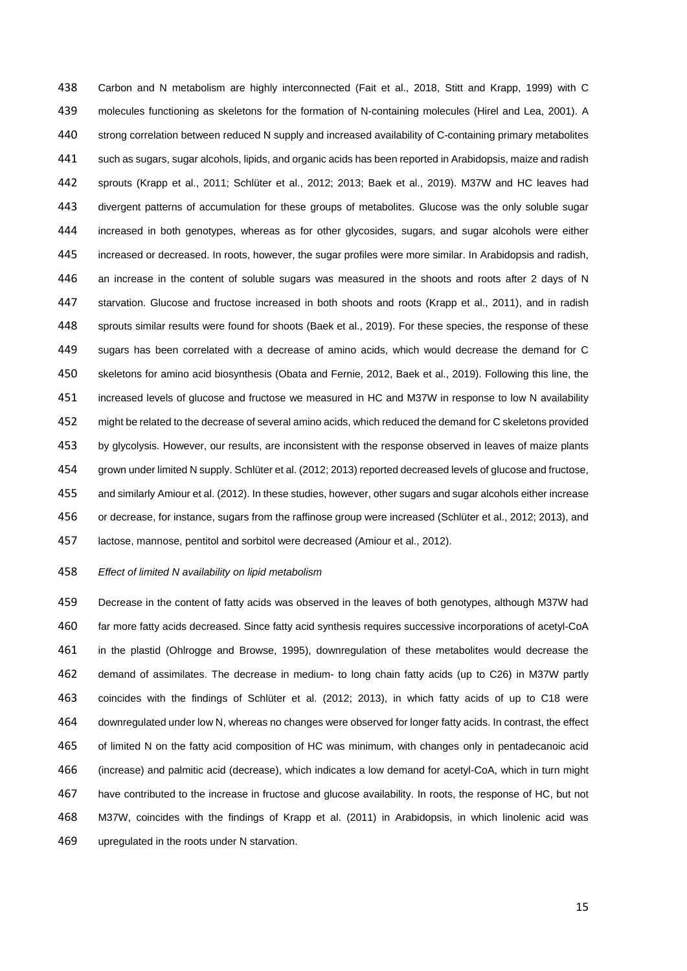Carbon and N metabolism are highly interconnected (Fait et al., 2018, Stitt and Krapp, 1999) with C molecules functioning as skeletons for the formation of N-containing molecules (Hirel and Lea, 2001). A strong correlation between reduced N supply and increased availability of C-containing primary metabolites such as sugars, sugar alcohols, lipids, and organic acids has been reported in Arabidopsis, maize and radish sprouts (Krapp et al., 2011; Schlüter et al., 2012; 2013; Baek et al., 2019). M37W and HC leaves had divergent patterns of accumulation for these groups of metabolites. Glucose was the only soluble sugar increased in both genotypes, whereas as for other glycosides, sugars, and sugar alcohols were either increased or decreased. In roots, however, the sugar profiles were more similar. In Arabidopsis and radish, an increase in the content of soluble sugars was measured in the shoots and roots after 2 days of N starvation. Glucose and fructose increased in both shoots and roots (Krapp et al., 2011), and in radish sprouts similar results were found for shoots (Baek et al., 2019). For these species, the response of these sugars has been correlated with a decrease of amino acids, which would decrease the demand for C skeletons for amino acid biosynthesis (Obata and Fernie, 2012, Baek et al., 2019). Following this line, the increased levels of glucose and fructose we measured in HC and M37W in response to low N availability might be related to the decrease of several amino acids, which reduced the demand for C skeletons provided by glycolysis. However, our results, are inconsistent with the response observed in leaves of maize plants grown under limited N supply. Schlüter et al. (2012; 2013) reported decreased levels of glucose and fructose, and similarly Amiour et al. (2012). In these studies, however, other sugars and sugar alcohols either increase or decrease, for instance, sugars from the raffinose group were increased (Schlüter et al., 2012; 2013), and lactose, mannose, pentitol and sorbitol were decreased (Amiour et al., 2012).

#### *Effect of limited N availability on lipid metabolism*

 Decrease in the content of fatty acids was observed in the leaves of both genotypes, although M37W had far more fatty acids decreased. Since fatty acid synthesis requires successive incorporations of acetyl-CoA in the plastid (Ohlrogge and Browse, 1995), downregulation of these metabolites would decrease the demand of assimilates. The decrease in medium- to long chain fatty acids (up to C26) in M37W partly coincides with the findings of Schlüter et al. (2012; 2013), in which fatty acids of up to C18 were downregulated under low N, whereas no changes were observed for longer fatty acids. In contrast, the effect of limited N on the fatty acid composition of HC was minimum, with changes only in pentadecanoic acid (increase) and palmitic acid (decrease), which indicates a low demand for acetyl-CoA, which in turn might have contributed to the increase in fructose and glucose availability. In roots, the response of HC, but not M37W, coincides with the findings of Krapp et al. (2011) in Arabidopsis, in which linolenic acid was upregulated in the roots under N starvation.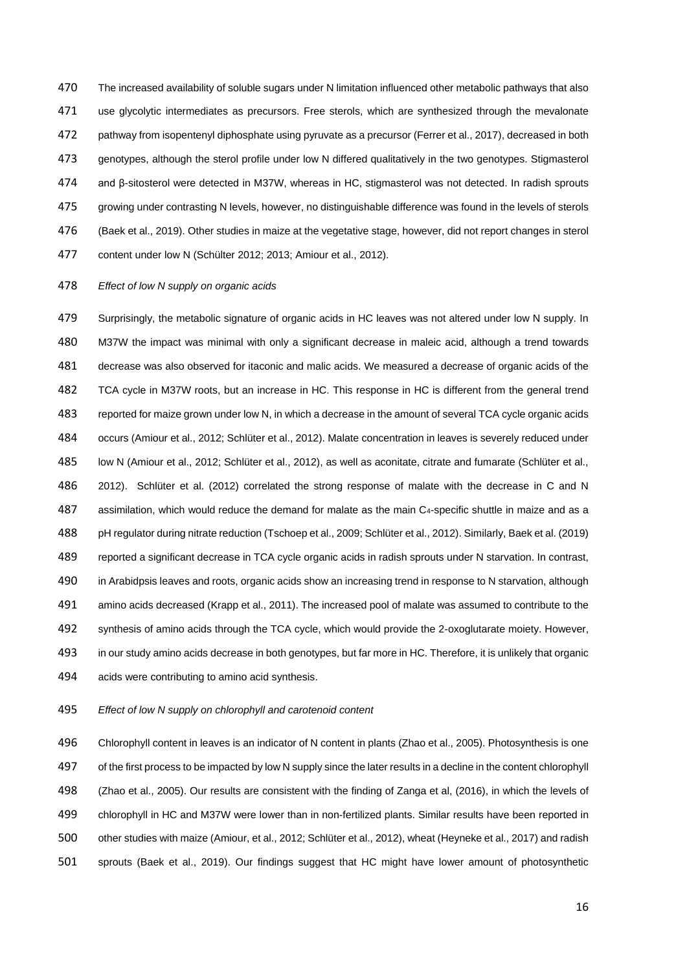The increased availability of soluble sugars under N limitation influenced other metabolic pathways that also use glycolytic intermediates as precursors. Free sterols, which are synthesized through the mevalonate pathway from isopentenyl diphosphate using pyruvate as a precursor (Ferrer et al., 2017), decreased in both genotypes, although the sterol profile under low N differed qualitatively in the two genotypes. Stigmasterol and β-sitosterol were detected in M37W, whereas in HC, stigmasterol was not detected. In radish sprouts growing under contrasting N levels, however, no distinguishable difference was found in the levels of sterols (Baek et al., 2019). Other studies in maize at the vegetative stage, however, did not report changes in sterol content under low N (Schülter 2012; 2013; Amiour et al., 2012).

# *Effect of low N supply on organic acids*

 Surprisingly, the metabolic signature of organic acids in HC leaves was not altered under low N supply. In M37W the impact was minimal with only a significant decrease in maleic acid, although a trend towards decrease was also observed for itaconic and malic acids. We measured a decrease of organic acids of the TCA cycle in M37W roots, but an increase in HC. This response in HC is different from the general trend reported for maize grown under low N, in which a decrease in the amount of several TCA cycle organic acids occurs (Amiour et al., 2012; Schlüter et al., 2012). Malate concentration in leaves is severely reduced under low N (Amiour et al., 2012; Schlüter et al., 2012), as well as aconitate, citrate and fumarate (Schlüter et al., 2012). Schlüter et al. (2012) correlated the strong response of malate with the decrease in C and N 487 assimilation, which would reduce the demand for malate as the main C<sub>4</sub>-specific shuttle in maize and as a pH regulator during nitrate reduction (Tschoep et al., 2009; Schlüter et al., 2012). Similarly, Baek et al. (2019) reported a significant decrease in TCA cycle organic acids in radish sprouts under N starvation. In contrast, in Arabidpsis leaves and roots, organic acids show an increasing trend in response to N starvation, although amino acids decreased (Krapp et al., 2011). The increased pool of malate was assumed to contribute to the synthesis of amino acids through the TCA cycle, which would provide the 2-oxoglutarate moiety. However, in our study amino acids decrease in both genotypes, but far more in HC. Therefore, it is unlikely that organic acids were contributing to amino acid synthesis.

*Effect of low N supply on chlorophyll and carotenoid content*

 Chlorophyll content in leaves is an indicator of N content in plants (Zhao et al., 2005). Photosynthesis is one 497 of the first process to be impacted by low N supply since the later results in a decline in the content chlorophyll (Zhao et al., 2005). Our results are consistent with the finding of Zanga et al, (2016), in which the levels of chlorophyll in HC and M37W were lower than in non-fertilized plants. Similar results have been reported in other studies with maize (Amiour, et al., 2012; Schlüter et al., 2012), wheat (Heyneke et al., 2017) and radish sprouts (Baek et al., 2019). Our findings suggest that HC might have lower amount of photosynthetic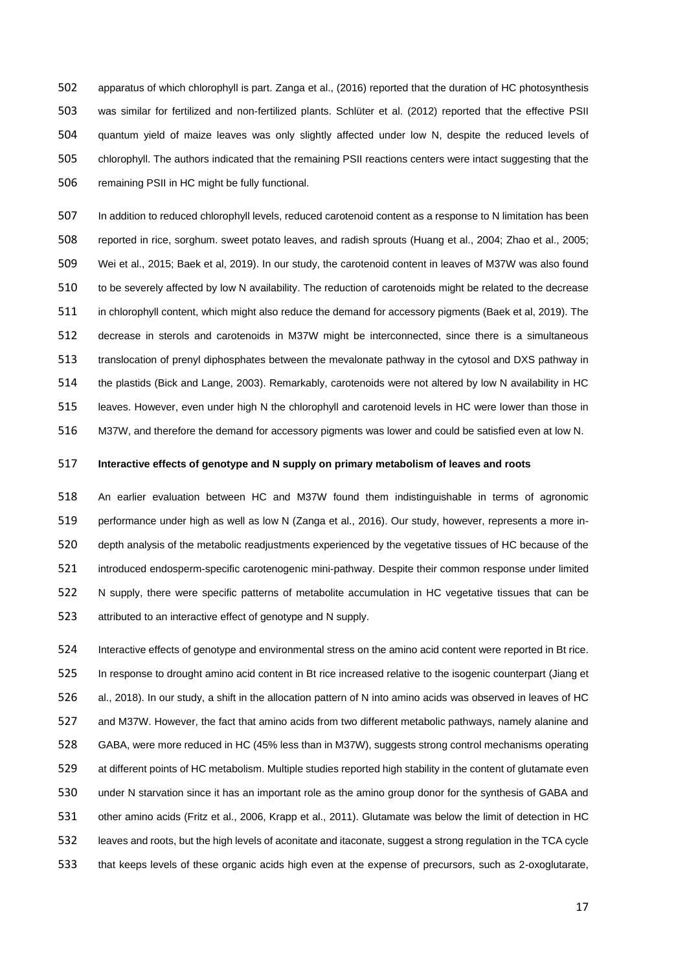apparatus of which chlorophyll is part. Zanga et al., (2016) reported that the duration of HC photosynthesis was similar for fertilized and non-fertilized plants. Schlüter et al. (2012) reported that the effective PSII quantum yield of maize leaves was only slightly affected under low N, despite the reduced levels of chlorophyll. The authors indicated that the remaining PSII reactions centers were intact suggesting that the remaining PSII in HC might be fully functional.

 In addition to reduced chlorophyll levels, reduced carotenoid content as a response to N limitation has been reported in rice, sorghum. sweet potato leaves, and radish sprouts (Huang et al., 2004; Zhao et al., 2005; Wei et al., 2015; Baek et al, 2019). In our study, the carotenoid content in leaves of M37W was also found to be severely affected by low N availability. The reduction of carotenoids might be related to the decrease in chlorophyll content, which might also reduce the demand for accessory pigments (Baek et al, 2019). The decrease in sterols and carotenoids in M37W might be interconnected, since there is a simultaneous translocation of prenyl diphosphates between the mevalonate pathway in the cytosol and DXS pathway in the plastids (Bick and Lange, 2003). Remarkably, carotenoids were not altered by low N availability in HC leaves. However, even under high N the chlorophyll and carotenoid levels in HC were lower than those in M37W, and therefore the demand for accessory pigments was lower and could be satisfied even at low N.

## **Interactive effects of genotype and N supply on primary metabolism of leaves and roots**

 An earlier evaluation between HC and M37W found them indistinguishable in terms of agronomic performance under high as well as low N (Zanga et al., 2016). Our study, however, represents a more in- depth analysis of the metabolic readjustments experienced by the vegetative tissues of HC because of the introduced endosperm-specific carotenogenic mini-pathway. Despite their common response under limited N supply, there were specific patterns of metabolite accumulation in HC vegetative tissues that can be attributed to an interactive effect of genotype and N supply.

 Interactive effects of genotype and environmental stress on the amino acid content were reported in Bt rice. In response to drought amino acid content in Bt rice increased relative to the isogenic counterpart (Jiang et al., 2018). In our study, a shift in the allocation pattern of N into amino acids was observed in leaves of HC and M37W. However, the fact that amino acids from two different metabolic pathways, namely alanine and GABA, were more reduced in HC (45% less than in M37W), suggests strong control mechanisms operating at different points of HC metabolism. Multiple studies reported high stability in the content of glutamate even under N starvation since it has an important role as the amino group donor for the synthesis of GABA and other amino acids (Fritz et al., 2006, Krapp et al., 2011). Glutamate was below the limit of detection in HC leaves and roots, but the high levels of aconitate and itaconate, suggest a strong regulation in the TCA cycle that keeps levels of these organic acids high even at the expense of precursors, such as 2-oxoglutarate,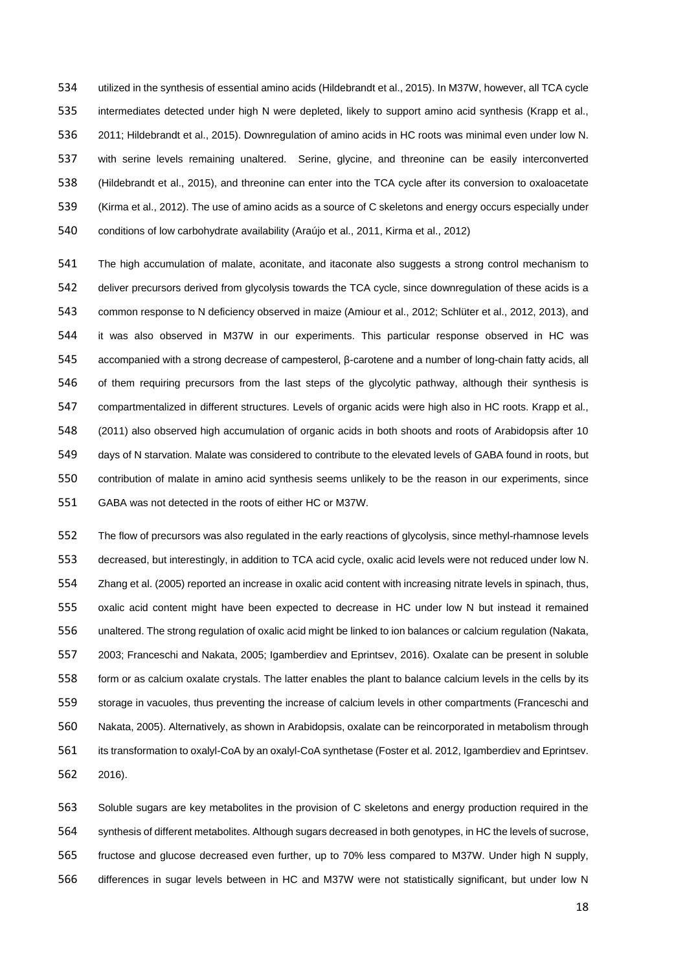utilized in the synthesis of essential amino acids (Hildebrandt et al., 2015). In M37W, however, all TCA cycle intermediates detected under high N were depleted, likely to support amino acid synthesis (Krapp et al., 2011; Hildebrandt et al., 2015). Downregulation of amino acids in HC roots was minimal even under low N. with serine levels remaining unaltered. Serine, glycine, and threonine can be easily interconverted (Hildebrandt et al., 2015), and threonine can enter into the TCA cycle after its conversion to oxaloacetate (Kirma et al., 2012). The use of amino acids as a source of C skeletons and energy occurs especially under conditions of low carbohydrate availability (Araújo et al., 2011, Kirma et al., 2012)

 The high accumulation of malate, aconitate, and itaconate also suggests a strong control mechanism to deliver precursors derived from glycolysis towards the TCA cycle, since downregulation of these acids is a common response to N deficiency observed in maize (Amiour et al., 2012; Schlüter et al., 2012, 2013), and it was also observed in M37W in our experiments. This particular response observed in HC was accompanied with a strong decrease of campesterol, β-carotene and a number of long-chain fatty acids, all of them requiring precursors from the last steps of the glycolytic pathway, although their synthesis is compartmentalized in different structures. Levels of organic acids were high also in HC roots. Krapp et al., (2011) also observed high accumulation of organic acids in both shoots and roots of Arabidopsis after 10 days of N starvation. Malate was considered to contribute to the elevated levels of GABA found in roots, but contribution of malate in amino acid synthesis seems unlikely to be the reason in our experiments, since GABA was not detected in the roots of either HC or M37W.

 The flow of precursors was also regulated in the early reactions of glycolysis, since methyl-rhamnose levels decreased, but interestingly, in addition to TCA acid cycle, oxalic acid levels were not reduced under low N. Zhang et al. (2005) reported an increase in oxalic acid content with increasing nitrate levels in spinach, thus, oxalic acid content might have been expected to decrease in HC under low N but instead it remained unaltered. The strong regulation of oxalic acid might be linked to ion balances or calcium regulation (Nakata, 2003; Franceschi and Nakata, 2005; Igamberdiev and Eprintsev, 2016). Oxalate can be present in soluble form or as calcium oxalate crystals. The latter enables the plant to balance calcium levels in the cells by its storage in vacuoles, thus preventing the increase of calcium levels in other compartments (Franceschi and Nakata, 2005). Alternatively, as shown in Arabidopsis, oxalate can be reincorporated in metabolism through its transformation to oxalyl-CoA by an oxalyl-CoA synthetase (Foster et al. 2012, Igamberdiev and Eprintsev. 2016).

 Soluble sugars are key metabolites in the provision of C skeletons and energy production required in the synthesis of different metabolites. Although sugars decreased in both genotypes, in HC the levels of sucrose, fructose and glucose decreased even further, up to 70% less compared to M37W. Under high N supply, differences in sugar levels between in HC and M37W were not statistically significant, but under low N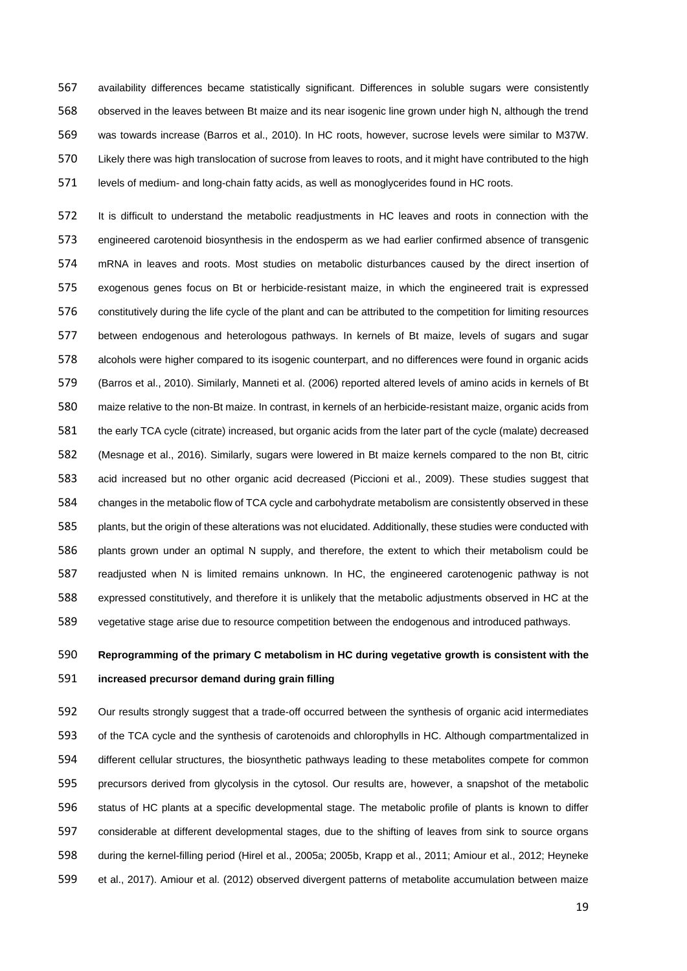availability differences became statistically significant. Differences in soluble sugars were consistently observed in the leaves between Bt maize and its near isogenic line grown under high N, although the trend was towards increase (Barros et al., 2010). In HC roots, however, sucrose levels were similar to M37W. Likely there was high translocation of sucrose from leaves to roots, and it might have contributed to the high levels of medium- and long-chain fatty acids, as well as monoglycerides found in HC roots.

 It is difficult to understand the metabolic readjustments in HC leaves and roots in connection with the engineered carotenoid biosynthesis in the endosperm as we had earlier confirmed absence of transgenic mRNA in leaves and roots. Most studies on metabolic disturbances caused by the direct insertion of exogenous genes focus on Bt or herbicide-resistant maize, in which the engineered trait is expressed constitutively during the life cycle of the plant and can be attributed to the competition for limiting resources between endogenous and heterologous pathways. In kernels of Bt maize, levels of sugars and sugar alcohols were higher compared to its isogenic counterpart, and no differences were found in organic acids (Barros et al., 2010). Similarly, Manneti et al. (2006) reported altered levels of amino acids in kernels of Bt maize relative to the non-Bt maize. In contrast, in kernels of an herbicide-resistant maize, organic acids from the early TCA cycle (citrate) increased, but organic acids from the later part of the cycle (malate) decreased (Mesnage et al., 2016). Similarly, sugars were lowered in Bt maize kernels compared to the non Bt, citric acid increased but no other organic acid decreased (Piccioni et al., 2009). These studies suggest that changes in the metabolic flow of TCA cycle and carbohydrate metabolism are consistently observed in these plants, but the origin of these alterations was not elucidated. Additionally, these studies were conducted with plants grown under an optimal N supply, and therefore, the extent to which their metabolism could be readjusted when N is limited remains unknown. In HC, the engineered carotenogenic pathway is not expressed constitutively, and therefore it is unlikely that the metabolic adjustments observed in HC at the vegetative stage arise due to resource competition between the endogenous and introduced pathways.

# **Reprogramming of the primary C metabolism in HC during vegetative growth is consistent with the increased precursor demand during grain filling**

 Our results strongly suggest that a trade-off occurred between the synthesis of organic acid intermediates of the TCA cycle and the synthesis of carotenoids and chlorophylls in HC. Although compartmentalized in different cellular structures, the biosynthetic pathways leading to these metabolites compete for common precursors derived from glycolysis in the cytosol. Our results are, however, a snapshot of the metabolic status of HC plants at a specific developmental stage. The metabolic profile of plants is known to differ considerable at different developmental stages, due to the shifting of leaves from sink to source organs during the kernel-filling period (Hirel et al., 2005a; 2005b, Krapp et al., 2011; Amiour et al., 2012; Heyneke et al., 2017). Amiour et al. (2012) observed divergent patterns of metabolite accumulation between maize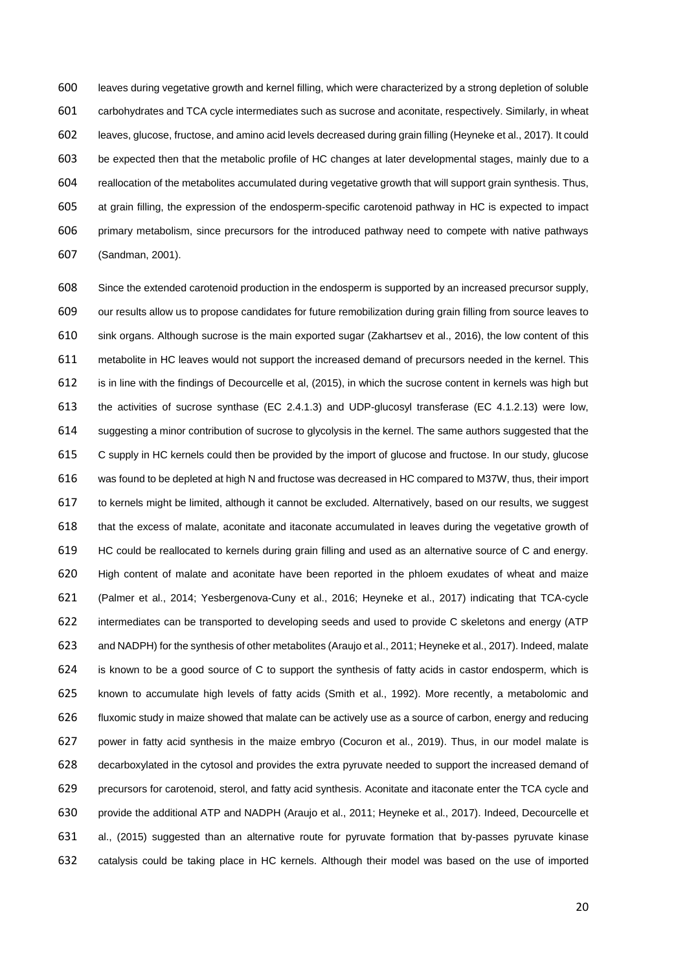leaves during vegetative growth and kernel filling, which were characterized by a strong depletion of soluble carbohydrates and TCA cycle intermediates such as sucrose and aconitate, respectively. Similarly, in wheat leaves, glucose, fructose, and amino acid levels decreased during grain filling (Heyneke et al., 2017). It could be expected then that the metabolic profile of HC changes at later developmental stages, mainly due to a reallocation of the metabolites accumulated during vegetative growth that will support grain synthesis. Thus, at grain filling, the expression of the endosperm-specific carotenoid pathway in HC is expected to impact primary metabolism, since precursors for the introduced pathway need to compete with native pathways (Sandman, 2001).

 Since the extended carotenoid production in the endosperm is supported by an increased precursor supply, our results allow us to propose candidates for future remobilization during grain filling from source leaves to sink organs. Although sucrose is the main exported sugar (Zakhartsev et al., 2016), the low content of this metabolite in HC leaves would not support the increased demand of precursors needed in the kernel. This is in line with the findings of Decourcelle et al, (2015), in which the sucrose content in kernels was high but the activities of sucrose synthase (EC 2.4.1.3) and UDP-glucosyl transferase (EC 4.1.2.13) were low, suggesting a minor contribution of sucrose to glycolysis in the kernel. The same authors suggested that the C supply in HC kernels could then be provided by the import of glucose and fructose. In our study, glucose was found to be depleted at high N and fructose was decreased in HC compared to M37W, thus, their import to kernels might be limited, although it cannot be excluded. Alternatively, based on our results, we suggest that the excess of malate, aconitate and itaconate accumulated in leaves during the vegetative growth of HC could be reallocated to kernels during grain filling and used as an alternative source of C and energy. High content of malate and aconitate have been reported in the phloem exudates of wheat and maize (Palmer et al., 2014; Yesbergenova-Cuny et al., 2016; Heyneke et al., 2017) indicating that TCA-cycle intermediates can be transported to developing seeds and used to provide C skeletons and energy (ATP and NADPH) for the synthesis of other metabolites (Araujo et al., 2011; Heyneke et al., 2017). Indeed, malate is known to be a good source of C to support the synthesis of fatty acids in castor endosperm, which is known to accumulate high levels of fatty acids (Smith et al., 1992). More recently, a metabolomic and fluxomic study in maize showed that malate can be actively use as a source of carbon, energy and reducing power in fatty acid synthesis in the maize embryo (Cocuron et al., 2019). Thus, in our model malate is decarboxylated in the cytosol and provides the extra pyruvate needed to support the increased demand of precursors for carotenoid, sterol, and fatty acid synthesis. Aconitate and itaconate enter the TCA cycle and provide the additional ATP and NADPH (Araujo et al., 2011; Heyneke et al., 2017). Indeed, Decourcelle et al., (2015) suggested than an alternative route for pyruvate formation that by-passes pyruvate kinase catalysis could be taking place in HC kernels. Although their model was based on the use of imported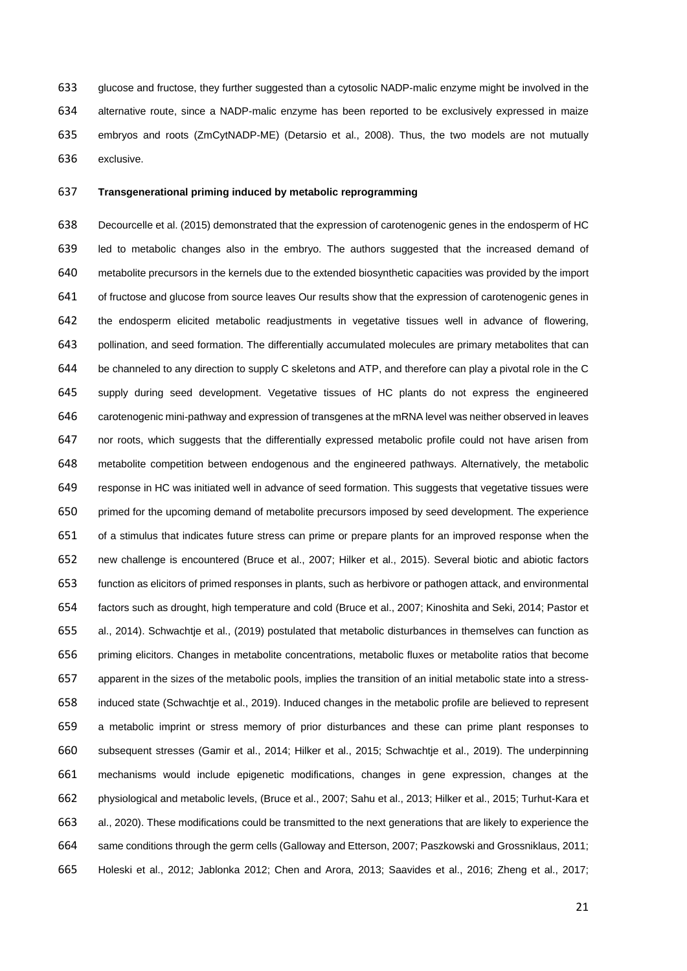glucose and fructose, they further suggested than a cytosolic NADP-malic enzyme might be involved in the alternative route, since a NADP-malic enzyme has been reported to be exclusively expressed in maize embryos and roots (ZmCytNADP-ME) (Detarsio et al., 2008). Thus, the two models are not mutually exclusive.

#### **Transgenerational priming induced by metabolic reprogramming**

 Decourcelle et al. (2015) demonstrated that the expression of carotenogenic genes in the endosperm of HC led to metabolic changes also in the embryo. The authors suggested that the increased demand of metabolite precursors in the kernels due to the extended biosynthetic capacities was provided by the import of fructose and glucose from source leaves Our results show that the expression of carotenogenic genes in the endosperm elicited metabolic readjustments in vegetative tissues well in advance of flowering, pollination, and seed formation. The differentially accumulated molecules are primary metabolites that can be channeled to any direction to supply C skeletons and ATP, and therefore can play a pivotal role in the C supply during seed development. Vegetative tissues of HC plants do not express the engineered carotenogenic mini-pathway and expression of transgenes at the mRNA level was neither observed in leaves nor roots, which suggests that the differentially expressed metabolic profile could not have arisen from metabolite competition between endogenous and the engineered pathways. Alternatively, the metabolic response in HC was initiated well in advance of seed formation. This suggests that vegetative tissues were primed for the upcoming demand of metabolite precursors imposed by seed development. The experience of a stimulus that indicates future stress can prime or prepare plants for an improved response when the new challenge is encountered (Bruce et al., 2007; Hilker et al., 2015). Several biotic and abiotic factors function as elicitors of primed responses in plants, such as herbivore or pathogen attack, and environmental factors such as drought, high temperature and cold (Bruce et al., 2007; Kinoshita and Seki, 2014; Pastor et al., 2014). Schwachtje et al., (2019) postulated that metabolic disturbances in themselves can function as priming elicitors. Changes in metabolite concentrations, metabolic fluxes or metabolite ratios that become apparent in the sizes of the metabolic pools, implies the transition of an initial metabolic state into a stress- induced state (Schwachtje et al., 2019). Induced changes in the metabolic profile are believed to represent a metabolic imprint or stress memory of prior disturbances and these can prime plant responses to subsequent stresses (Gamir et al., 2014; Hilker et al., 2015; Schwachtje et al., 2019). The underpinning mechanisms would include epigenetic modifications, changes in gene expression, changes at the physiological and metabolic levels, (Bruce et al., 2007; Sahu et al., 2013; Hilker et al., 2015; Turhut-Kara et al., 2020). These modifications could be transmitted to the next generations that are likely to experience the same conditions through the germ cells (Galloway and Etterson, 2007; Paszkowski and Grossniklaus, 2011; Holeski et al., 2012; Jablonka 2012; Chen and Arora, 2013; Saavides et al., 2016; Zheng et al., 2017;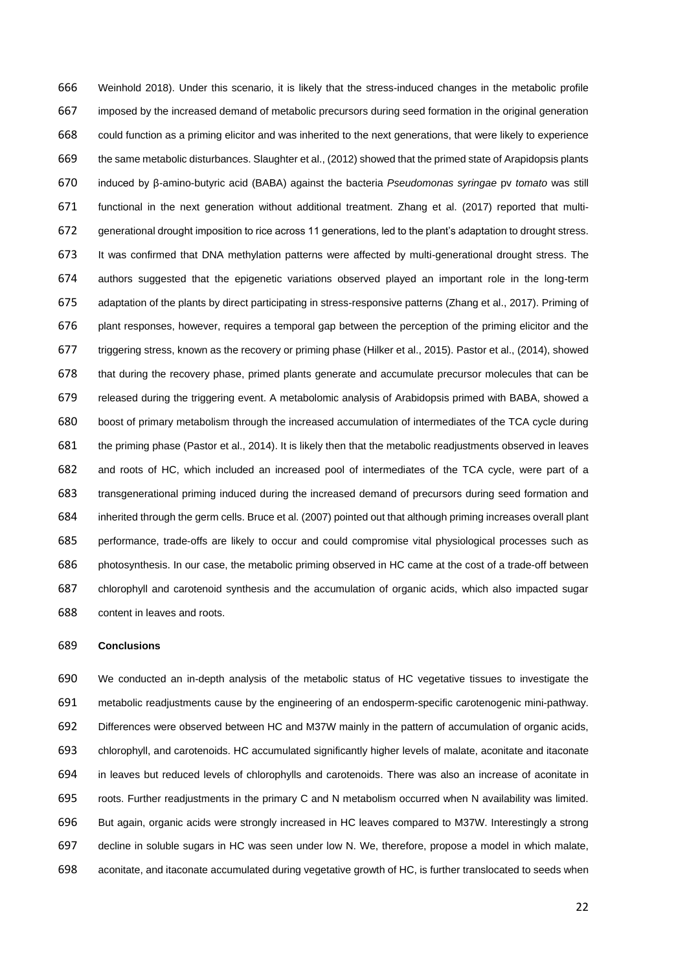Weinhold 2018). Under this scenario, it is likely that the stress-induced changes in the metabolic profile imposed by the increased demand of metabolic precursors during seed formation in the original generation could function as a priming elicitor and was inherited to the next generations, that were likely to experience the same metabolic disturbances. Slaughter et al., (2012) showed that the primed state of Arapidopsis plants induced by β-amino-butyric acid (BABA) against the bacteria *Pseudomonas syringae* pv *tomato* was still functional in the next generation without additional treatment. Zhang et al. (2017) reported that multi- generational drought imposition to rice across 11 generations, led to the plant's adaptation to drought stress. It was confirmed that DNA methylation patterns were affected by multi-generational drought stress. The authors suggested that the epigenetic variations observed played an important role in the long-term adaptation of the plants by direct participating in stress-responsive patterns (Zhang et al., 2017). Priming of plant responses, however, requires a temporal gap between the perception of the priming elicitor and the triggering stress, known as the recovery or priming phase (Hilker et al., 2015). Pastor et al., (2014), showed that during the recovery phase, primed plants generate and accumulate precursor molecules that can be released during the triggering event. A metabolomic analysis of Arabidopsis primed with BABA, showed a boost of primary metabolism through the increased accumulation of intermediates of the TCA cycle during the priming phase (Pastor et al., 2014). It is likely then that the metabolic readjustments observed in leaves and roots of HC, which included an increased pool of intermediates of the TCA cycle, were part of a transgenerational priming induced during the increased demand of precursors during seed formation and inherited through the germ cells. Bruce et al. (2007) pointed out that although priming increases overall plant performance, trade-offs are likely to occur and could compromise vital physiological processes such as photosynthesis. In our case, the metabolic priming observed in HC came at the cost of a trade-off between chlorophyll and carotenoid synthesis and the accumulation of organic acids, which also impacted sugar content in leaves and roots.

#### **Conclusions**

 We conducted an in-depth analysis of the metabolic status of HC vegetative tissues to investigate the metabolic readjustments cause by the engineering of an endosperm-specific carotenogenic mini-pathway. Differences were observed between HC and M37W mainly in the pattern of accumulation of organic acids, chlorophyll, and carotenoids. HC accumulated significantly higher levels of malate, aconitate and itaconate in leaves but reduced levels of chlorophylls and carotenoids. There was also an increase of aconitate in roots. Further readjustments in the primary C and N metabolism occurred when N availability was limited. But again, organic acids were strongly increased in HC leaves compared to M37W. Interestingly a strong decline in soluble sugars in HC was seen under low N. We, therefore, propose a model in which malate, aconitate, and itaconate accumulated during vegetative growth of HC, is further translocated to seeds when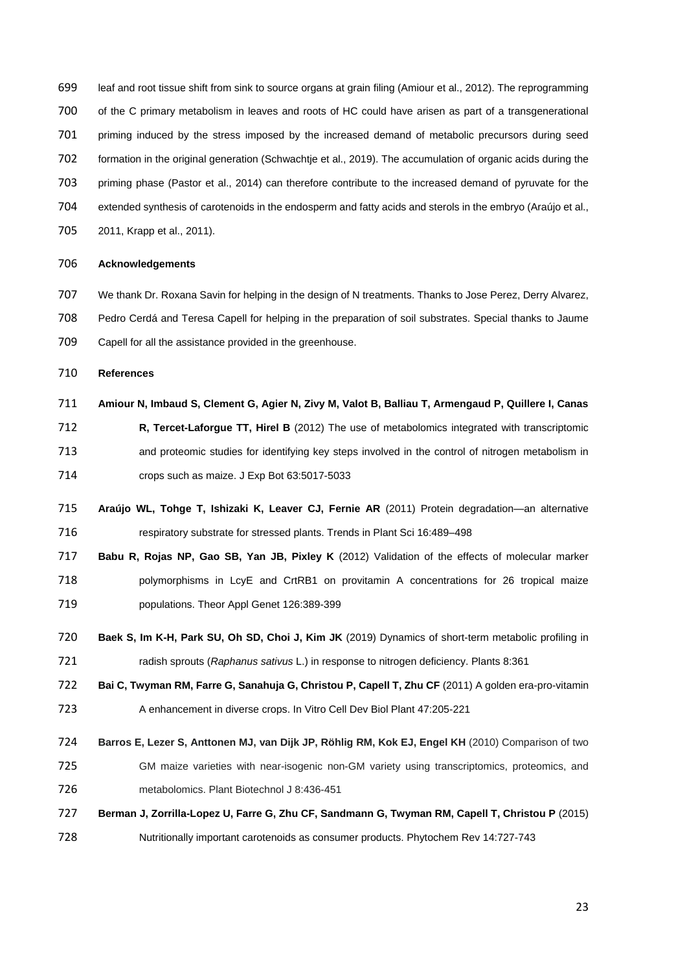leaf and root tissue shift from sink to source organs at grain filing (Amiour et al., 2012). The reprogramming of the C primary metabolism in leaves and roots of HC could have arisen as part of a transgenerational priming induced by the stress imposed by the increased demand of metabolic precursors during seed formation in the original generation (Schwachtje et al., 2019). The accumulation of organic acids during the priming phase (Pastor et al., 2014) can therefore contribute to the increased demand of pyruvate for the extended synthesis of carotenoids in the endosperm and fatty acids and sterols in the embryo (Araújo et al., 2011, Krapp et al., 2011).

#### **Acknowledgements**

- We thank Dr. Roxana Savin for helping in the design of N treatments. Thanks to Jose Perez, Derry Alvarez,
- Pedro Cerdá and Teresa Capell for helping in the preparation of soil substrates. Special thanks to Jaume
- Capell for all the assistance provided in the greenhouse.

# **References**

- **Amiour N, Imbaud S, Clement G, Agier N, Zivy M, Valot B, Balliau T, Armengaud P, Quillere I, Canas**
- **R, Tercet-Laforgue TT, Hirel B** (2012) The use of metabolomics integrated with transcriptomic and proteomic studies for identifying key steps involved in the control of nitrogen metabolism in crops such as maize. J Exp Bot 63:5017-5033
- **Araújo WL, Tohge T, Ishizaki K, Leaver CJ, Fernie AR** (2011) Protein degradation—an alternative respiratory substrate for stressed plants. Trends in Plant Sci 16:489–498

 **Babu R, Rojas NP, Gao SB, Yan JB, Pixley K** (2012) Validation of the effects of molecular marker polymorphisms in LcyE and CrtRB1 on provitamin A concentrations for 26 tropical maize populations. Theor Appl Genet 126:389-399

- **Baek S, Im K-H, Park SU, Oh SD, Choi J, Kim JK** (2019) Dynamics of short-term metabolic profiling in radish sprouts (*Raphanus sativus* L.) in response to nitrogen deficiency. Plants 8:361
- **Bai C, Twyman RM, Farre G, Sanahuja G, Christou P, Capell T, Zhu CF** (2011) A golden era-pro-vitamin A enhancement in diverse crops. In Vitro Cell Dev Biol Plant 47:205-221
- **Barros E, Lezer S, Anttonen MJ, van Dijk JP, Röhlig RM, Kok EJ, Engel KH** (2010) Comparison of two GM maize varieties with near-isogenic non-GM variety using transcriptomics, proteomics, and metabolomics. Plant Biotechnol J 8:436-451
- **Berman J, Zorrilla-Lopez U, Farre G, Zhu CF, Sandmann G, Twyman RM, Capell T, Christou P** (2015) Nutritionally important carotenoids as consumer products. Phytochem Rev 14:727-743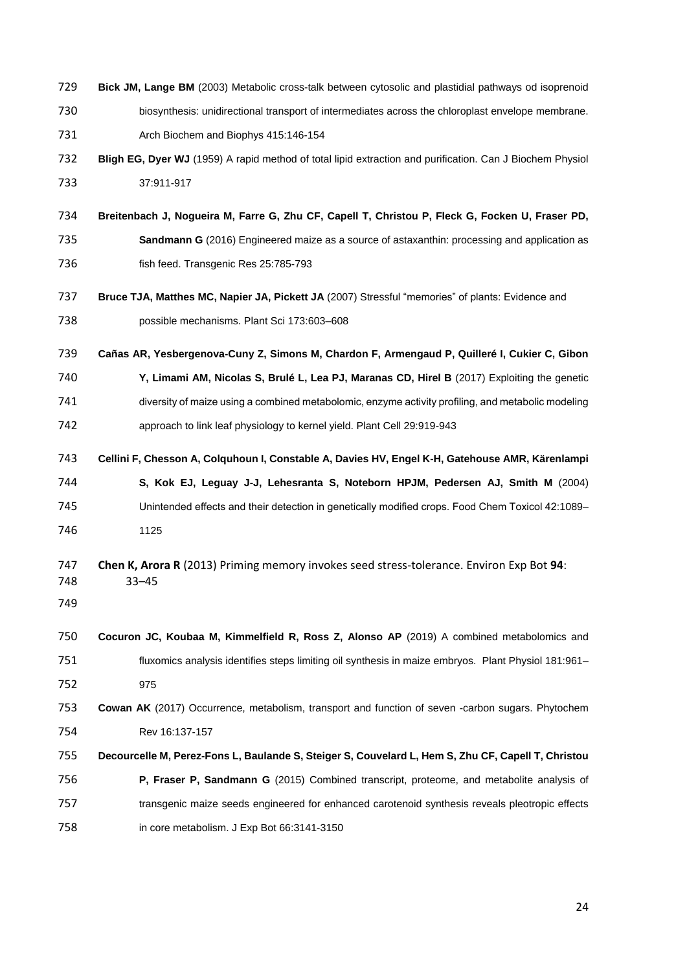| 729        | Bick JM, Lange BM (2003) Metabolic cross-talk between cytosolic and plastidial pathways od isoprenoid     |
|------------|-----------------------------------------------------------------------------------------------------------|
| 730        | biosynthesis: unidirectional transport of intermediates across the chloroplast envelope membrane.         |
| 731        | Arch Biochem and Biophys 415:146-154                                                                      |
| 732        | Bligh EG, Dyer WJ (1959) A rapid method of total lipid extraction and purification. Can J Biochem Physiol |
| 733        | 37:911-917                                                                                                |
| 734        | Breitenbach J, Nogueira M, Farre G, Zhu CF, Capell T, Christou P, Fleck G, Focken U, Fraser PD,           |
| 735        | Sandmann G (2016) Engineered maize as a source of astaxanthin: processing and application as              |
| 736        | fish feed. Transgenic Res 25:785-793                                                                      |
| 737        | Bruce TJA, Matthes MC, Napier JA, Pickett JA (2007) Stressful "memories" of plants: Evidence and          |
| 738        | possible mechanisms. Plant Sci 173:603-608                                                                |
| 739        | Cañas AR, Yesbergenova-Cuny Z, Simons M, Chardon F, Armengaud P, Quilleré I, Cukier C, Gibon              |
| 740        | Y, Limami AM, Nicolas S, Brulé L, Lea PJ, Maranas CD, Hirel B (2017) Exploiting the genetic               |
| 741        | diversity of maize using a combined metabolomic, enzyme activity profiling, and metabolic modeling        |
| 742        | approach to link leaf physiology to kernel yield. Plant Cell 29:919-943                                   |
| 743        | Cellini F, Chesson A, Colquhoun I, Constable A, Davies HV, Engel K-H, Gatehouse AMR, Kärenlampi           |
| 744        | S, Kok EJ, Leguay J-J, Lehesranta S, Noteborn HPJM, Pedersen AJ, Smith M (2004)                           |
| 745        | Unintended effects and their detection in genetically modified crops. Food Chem Toxicol 42:1089-          |
| 746        | 1125                                                                                                      |
| 747<br>748 | Chen K, Arora R (2013) Priming memory invokes seed stress-tolerance. Environ Exp Bot 94:<br>$33 - 45$     |
| 749        |                                                                                                           |
| 750        | Cocuron JC, Koubaa M, Kimmelfield R, Ross Z, Alonso AP (2019) A combined metabolomics and                 |
| 751        | fluxomics analysis identifies steps limiting oil synthesis in maize embryos. Plant Physiol 181:961–       |
| 752        | 975                                                                                                       |
| 753        | Cowan AK (2017) Occurrence, metabolism, transport and function of seven -carbon sugars. Phytochem         |
| 754        | Rev 16:137-157                                                                                            |
| 755        | Decourcelle M, Perez-Fons L, Baulande S, Steiger S, Couvelard L, Hem S, Zhu CF, Capell T, Christou        |
| 756        | P, Fraser P, Sandmann G (2015) Combined transcript, proteome, and metabolite analysis of                  |
| 757        | transgenic maize seeds engineered for enhanced carotenoid synthesis reveals pleotropic effects            |
| 758        | in core metabolism. J Exp Bot 66:3141-3150                                                                |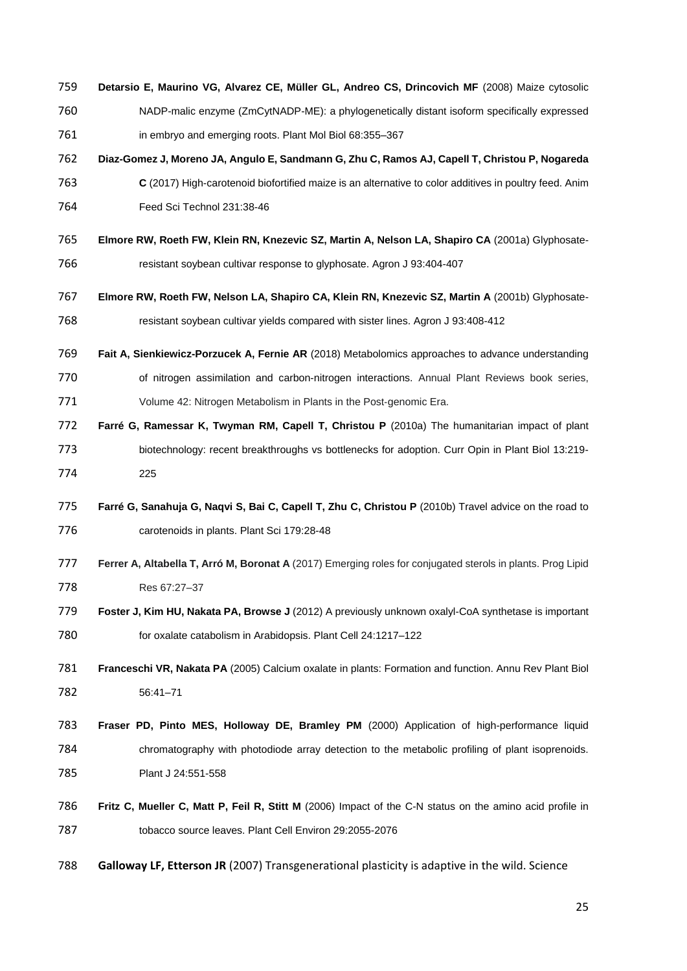**Detarsio E, Maurino VG, Alvarez CE, Müller GL, Andreo CS, Drincovich MF** (2008) Maize cytosolic NADP-malic enzyme (ZmCytNADP-ME): a phylogenetically distant isoform specifically expressed in embryo and emerging roots. Plant Mol Biol 68:355–367

**Diaz-Gomez J, Moreno JA, Angulo E, Sandmann G, Zhu C, Ramos AJ, Capell T, Christou P, Nogareda** 

- **C** (2017) High-carotenoid biofortified maize is an alternative to color additives in poultry feed. Anim Feed Sci Technol 231:38-46
- **Elmore RW, Roeth FW, Klein RN, Knezevic SZ, Martin A, Nelson LA, Shapiro CA** (2001a) Glyphosate-

resistant soybean cultivar response to glyphosate. Agron J 93:404-407

- **Elmore RW, Roeth FW, Nelson LA, Shapiro CA, Klein RN, Knezevic SZ, Martin A** (2001b) Glyphosate-resistant soybean cultivar yields compared with sister lines. Agron J 93:408-412
- **Fait A, Sienkiewicz-Porzucek A, Fernie AR** (2018) Metabolomics approaches to advance understanding 770 of nitrogen assimilation and carbon-nitrogen interactions. Annual Plant Reviews book series, 771 Volume 42: Nitrogen Metabolism in Plants in the Post-genomic Era.
- **Farré G, Ramessar K, Twyman RM, Capell T, Christou P** (2010a) The humanitarian impact of plant biotechnology: recent breakthroughs vs bottlenecks for adoption. Curr Opin in Plant Biol 13:219- 225
- **Farré G, Sanahuja G, Naqvi S, Bai C, Capell T, Zhu C, Christou P** (2010b) Travel advice on the road to carotenoids in plants. Plant Sci 179:28-48
- **Ferrer A, Altabella T, Arró M, Boronat A** (2017) Emerging roles for conjugated sterols in plants. Prog Lipid Res 67:27–37
- **Foster J, Kim HU, Nakata PA, Browse J** (2012) A previously unknown oxalyl-CoA synthetase is important for oxalate catabolism in Arabidopsis. Plant Cell 24:1217–122
- **Franceschi VR, Nakata PA** (2005) Calcium oxalate in plants: Formation and function. Annu Rev Plant Biol 56:41–71
- **Fraser PD, Pinto MES, Holloway DE, Bramley PM** (2000) Application of high-performance liquid chromatography with photodiode array detection to the metabolic profiling of plant isoprenoids.
- Plant J 24:551-558
- **Fritz C, Mueller C, Matt P, Feil R, Stitt M** (2006) Impact of the C-N status on the amino acid profile in tobacco source leaves. Plant Cell Environ 29:2055-2076
- **Galloway LF, Etterson JR** (2007) Transgenerational plasticity is adaptive in the wild. Science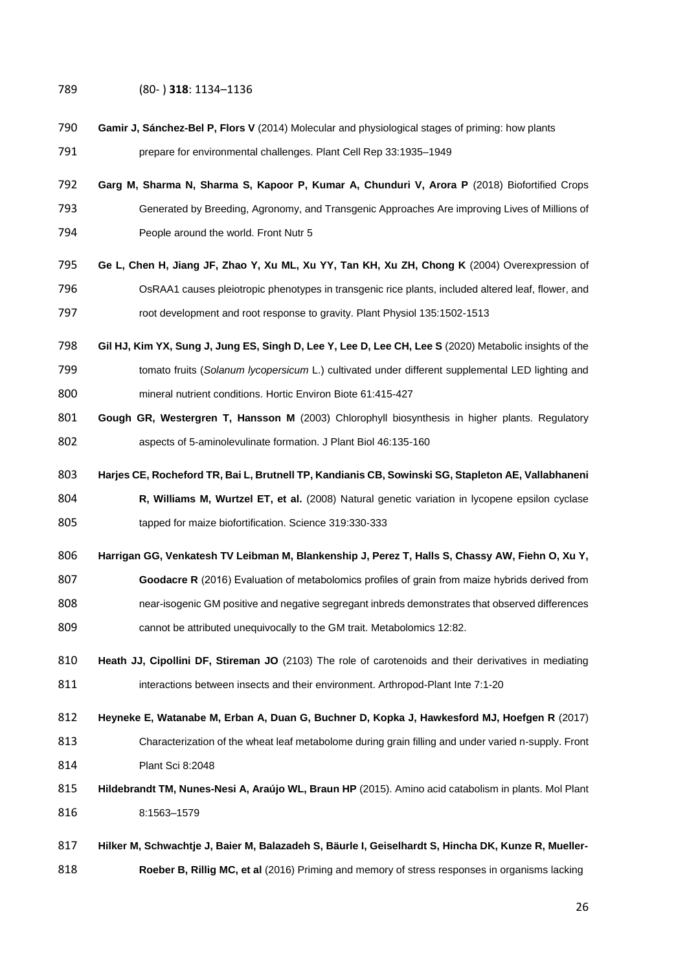- (80- ) **318**: 1134–1136
- **Gamir J, Sánchez-Bel P, Flors V** (2014) Molecular and physiological stages of priming: how plants prepare for environmental challenges. Plant Cell Rep 33:1935–1949
- **Garg M, Sharma N, Sharma S, Kapoor P, Kumar A, Chunduri V, Arora P** (2018) Biofortified Crops Generated by Breeding, Agronomy, and Transgenic Approaches Are improving Lives of Millions of People around the world. Front Nutr 5
- **Ge L, Chen H, Jiang JF, Zhao Y, Xu ML, Xu YY, Tan KH, Xu ZH, Chong K** (2004) Overexpression of OsRAA1 causes pleiotropic phenotypes in transgenic rice plants, included altered leaf, flower, and root development and root response to gravity. Plant Physiol 135:1502-1513
- **Gil HJ, Kim YX, Sung J, Jung ES, Singh D, Lee Y, Lee D, Lee CH, Lee S** (2020) Metabolic insights of the tomato fruits (*Solanum lycopersicum* L.) cultivated under different supplemental LED lighting and mineral nutrient conditions. Hortic Environ Biote 61:415-427
- **Gough GR, Westergren T, Hansson M** (2003) Chlorophyll biosynthesis in higher plants. Regulatory aspects of 5-aminolevulinate formation. J Plant Biol 46:135-160
- **Harjes CE, Rocheford TR, Bai L, Brutnell TP, Kandianis CB, Sowinski SG, Stapleton AE, Vallabhaneni R, Williams M, Wurtzel ET, et al.** (2008) Natural genetic variation in lycopene epsilon cyclase

tapped for maize biofortification. Science 319:330-333

- **Harrigan GG, Venkatesh TV Leibman M, Blankenship J, Perez T, Halls S, Chassy AW, Fiehn O, Xu Y,**
- **Goodacre R** (2016) Evaluation of metabolomics profiles of grain from maize hybrids derived from near-isogenic GM positive and negative segregant inbreds demonstrates that observed differences cannot be attributed unequivocally to the GM trait. Metabolomics 12:82.
- **Heath JJ, Cipollini DF, Stireman JO** (2103) The role of carotenoids and their derivatives in mediating 811 interactions between insects and their environment. Arthropod-Plant Inte 7:1-20
- **Heyneke E, Watanabe M, Erban A, Duan G, Buchner D, Kopka J, Hawkesford MJ, Hoefgen R** (2017) Characterization of the wheat leaf metabolome during grain filling and under varied n-supply. Front Plant Sci 8:2048
- **Hildebrandt TM, Nunes-Nesi A, Araújo WL, Braun HP** (2015). Amino acid catabolism in plants. Mol Plant 8:1563–1579
- **Hilker M, Schwachtje J, Baier M, Balazadeh S, Bäurle I, Geiselhardt S, Hincha DK, Kunze R, Mueller-Roeber B, Rillig MC, et al** (2016) Priming and memory of stress responses in organisms lacking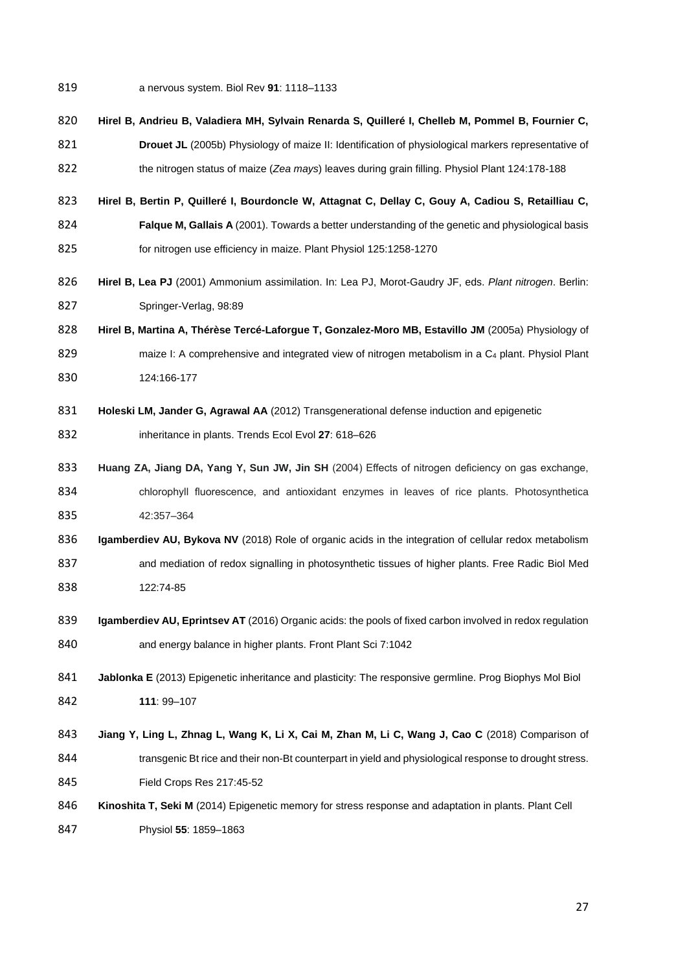a nervous system. Biol Rev **91**: 1118–1133 **Hirel B, Andrieu B, Valadiera MH, Sylvain Renarda S, Quilleré I, Chelleb M, Pommel B, Fournier C, Drouet JL** (2005b) Physiology of maize II: Identification of physiological markers representative of the nitrogen status of maize (*Zea mays*) leaves during grain filling. Physiol Plant 124:178-188 **Hirel B, Bertin P, Quilleré I, Bourdoncle W, Attagnat C, Dellay C, Gouy A, Cadiou S, Retailliau C, Falque M, Gallais A** (2001). Towards a better understanding of the genetic and physiological basis for nitrogen use efficiency in maize. Plant Physiol 125:1258-1270 **Hirel B, Lea PJ** (2001) Ammonium assimilation. In: Lea PJ, Morot-Gaudry JF, eds. *Plant nitrogen*. Berlin: Springer-Verlag, 98:89 **Hirel B, Martina A, Thérèse Tercé-Laforgue T, Gonzalez-Moro MB, Estavillo JM** (2005a) Physiology of 829 maize I: A comprehensive and integrated view of nitrogen metabolism in a C<sub>4</sub> plant. Physiol Plant 124:166-177 **Holeski LM, Jander G, Agrawal AA** (2012) Transgenerational defense induction and epigenetic inheritance in plants. Trends Ecol Evol **27**: 618–626 **Huang ZA, Jiang DA, Yang Y, Sun JW, Jin SH** (2004) Effects of nitrogen deficiency on gas exchange, 834 chlorophyll fluorescence, and antioxidant enzymes in leaves of rice plants. Photosynthetica 42:357–364 **Igamberdiev AU, Bykova NV** (2018) Role of organic acids in the integration of cellular redox metabolism 837 and mediation of redox signalling in photosynthetic tissues of higher plants. Free Radic Biol Med 122:74-85 **Igamberdiev AU, Eprintsev AT** (2016) Organic acids: the pools of fixed carbon involved in redox regulation 840 and energy balance in higher plants. Front Plant Sci 7:1042 **Jablonka E** (2013) Epigenetic inheritance and plasticity: The responsive germline. Prog Biophys Mol Biol **111**: 99–107 **Jiang Y, Ling L, Zhnag L, Wang K, Li X, Cai M, Zhan M, Li C, Wang J, Cao C** (2018) Comparison of 844 transgenic Bt rice and their non-Bt counterpart in yield and physiological response to drought stress. Field Crops Res 217:45-52 **Kinoshita T, Seki M** (2014) Epigenetic memory for stress response and adaptation in plants. Plant Cell

Physiol **55**: 1859–1863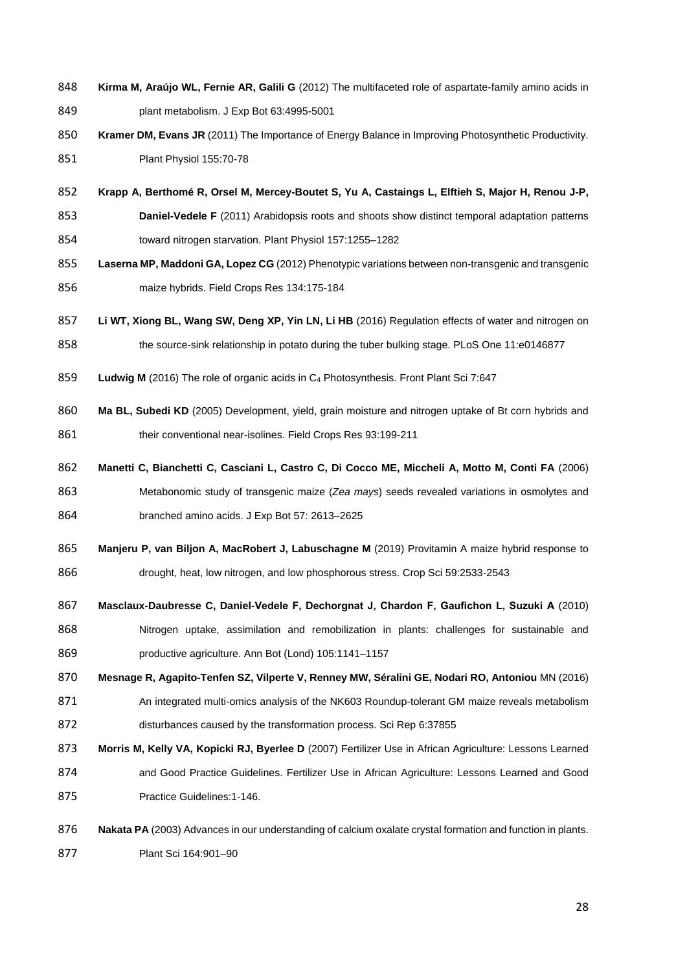- **Kirma M, Araújo WL, Fernie AR, Galili G** (2012) The multifaceted role of aspartate-family amino acids in plant metabolism. J Exp Bot 63:4995-5001
- **Kramer DM, Evans JR** (2011) The Importance of Energy Balance in Improving Photosynthetic Productivity. Plant Physiol 155:70-78
- **Krapp A, Berthomé R, Orsel M, Mercey-Boutet S, Yu A, Castaings L, Elftieh S, Major H, Renou J-P, Daniel-Vedele F** (2011) Arabidopsis roots and shoots show distinct temporal adaptation patterns toward nitrogen starvation. Plant Physiol 157:1255–1282
- **Laserna MP, Maddoni GA, Lopez CG** (2012) Phenotypic variations between non-transgenic and transgenic maize hybrids. Field Crops Res 134:175-184
- **Li WT, Xiong BL, Wang SW, Deng XP, Yin LN, Li HB** (2016) Regulation effects of water and nitrogen on
- the source-sink relationship in potato during the tuber bulking stage. PLoS One 11:e0146877
- **Ludwig M** (2016) The role of organic acids in C<sup>4</sup> Photosynthesis. Front Plant Sci 7:647
- **Ma BL, Subedi KD** (2005) Development, yield, grain moisture and nitrogen uptake of Bt corn hybrids and their conventional near-isolines. Field Crops Res 93:199-211
- **Manetti C, Bianchetti C, Casciani L, Castro C, Di Cocco ME, Miccheli A, Motto M, Conti FA** (2006)
- Metabonomic study of transgenic maize (*Zea mays*) seeds revealed variations in osmolytes and branched amino acids. J Exp Bot 57: 2613–2625
- **Manjeru P, van Biljon A, MacRobert J, Labuschagne M** (2019) Provitamin A maize hybrid response to drought, heat, low nitrogen, and low phosphorous stress. Crop Sci 59:2533-2543
- **Masclaux-Daubresse C, Daniel-Vedele F, Dechorgnat J, Chardon F, Gaufichon L, Suzuki A** (2010)
- Nitrogen uptake, assimilation and remobilization in plants: challenges for sustainable and productive agriculture. Ann Bot (Lond) 105:1141–1157
- **Mesnage R, Agapito-Tenfen SZ, Vilperte V, Renney MW, Séralini GE, Nodari RO, Antoniou** MN (2016) 871 An integrated multi-omics analysis of the NK603 Roundup-tolerant GM maize reveals metabolism disturbances caused by the transformation process. Sci Rep 6:37855
- **Morris M, Kelly VA, Kopicki RJ, Byerlee D** (2007) Fertilizer Use in African Agriculture: Lessons Learned and Good Practice Guidelines. Fertilizer Use in African Agriculture: Lessons Learned and Good 875 Practice Guidelines: 1-146.
- **Nakata PA** (2003) Advances in our understanding of calcium oxalate crystal formation and function in plants. Plant Sci 164:901–90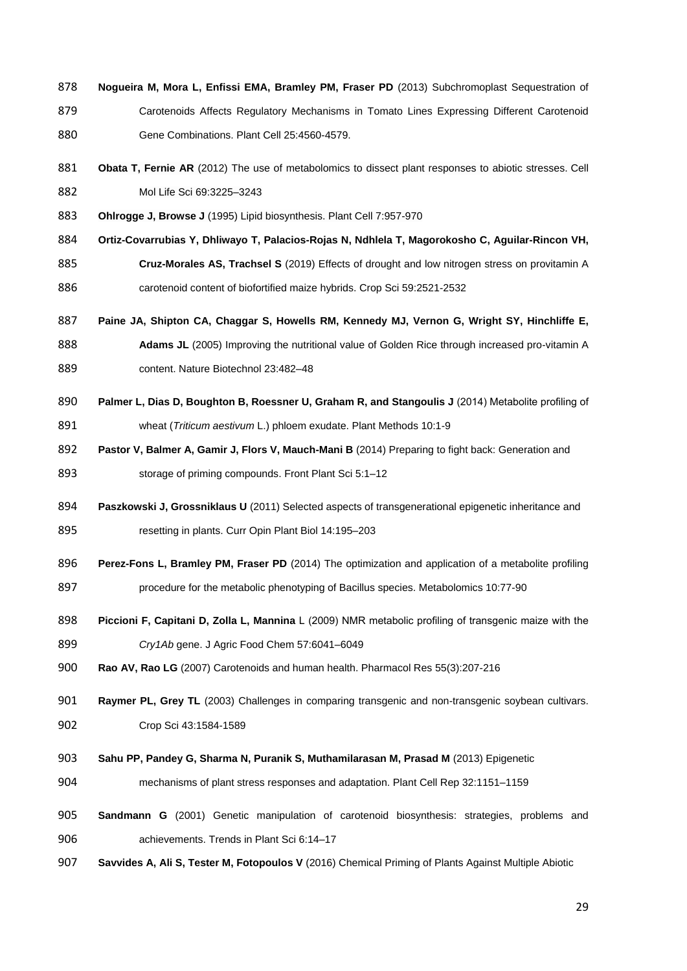- **Nogueira M, Mora L, Enfissi EMA, Bramley PM, Fraser PD** (2013) Subchromoplast Sequestration of Carotenoids Affects Regulatory Mechanisms in Tomato Lines Expressing Different Carotenoid Gene Combinations. Plant Cell 25:4560-4579.
- **Obata T, Fernie AR** (2012) The use of metabolomics to dissect plant responses to abiotic stresses. Cell Mol Life Sci 69:3225–3243
- **Ohlrogge J, Browse J** (1995) Lipid biosynthesis. Plant Cell 7:957-970
- **Ortiz-Covarrubias Y, Dhliwayo T, Palacios-Rojas N, Ndhlela T, Magorokosho C, Aguilar-Rincon VH,**
- **Cruz-Morales AS, Trachsel S** (2019) Effects of drought and low nitrogen stress on provitamin A carotenoid content of biofortified maize hybrids. Crop Sci 59:2521-2532
- **Paine JA, Shipton CA, Chaggar S, Howells RM, Kennedy MJ, Vernon G, Wright SY, Hinchliffe E,**
- **Adams JL** (2005) Improving the nutritional value of Golden Rice through increased pro-vitamin A content. Nature Biotechnol 23:482–48
- **Palmer L, Dias D, Boughton B, Roessner U, Graham R, and Stangoulis J** (2014) Metabolite profiling of
- wheat (*Triticum aestivum* L.) phloem exudate. Plant Methods 10:1-9
- **Pastor V, Balmer A, Gamir J, Flors V, Mauch-Mani B** (2014) Preparing to fight back: Generation and storage of priming compounds. Front Plant Sci 5:1–12
- **Paszkowski J, Grossniklaus U** (2011) Selected aspects of transgenerational epigenetic inheritance and resetting in plants. Curr Opin Plant Biol 14:195–203
- **Perez-Fons L, Bramley PM, Fraser PD** (2014) The optimization and application of a metabolite profiling
- procedure for the metabolic phenotyping of Bacillus species. Metabolomics 10:77-90
- **Piccioni F, Capitani D, Zolla L, Mannina** L (2009) NMR metabolic profiling of transgenic maize with the *Cry1Ab* gene. J Agric Food Chem 57:6041–6049
- **Rao AV, Rao LG** (2007) Carotenoids and human health. Pharmacol Res 55(3):207-216
- **Raymer PL, Grey TL** (2003) Challenges in comparing transgenic and non-transgenic soybean cultivars. Crop Sci 43:1584-1589
- **Sahu PP, Pandey G, Sharma N, Puranik S, Muthamilarasan M, Prasad M** (2013) Epigenetic
- mechanisms of plant stress responses and adaptation. Plant Cell Rep 32:1151–1159
- **Sandmann G** (2001) Genetic manipulation of carotenoid biosynthesis: strategies, problems and achievements. Trends in Plant Sci 6:14–17
- **Savvides A, Ali S, Tester M, Fotopoulos V** (2016) Chemical Priming of Plants Against Multiple Abiotic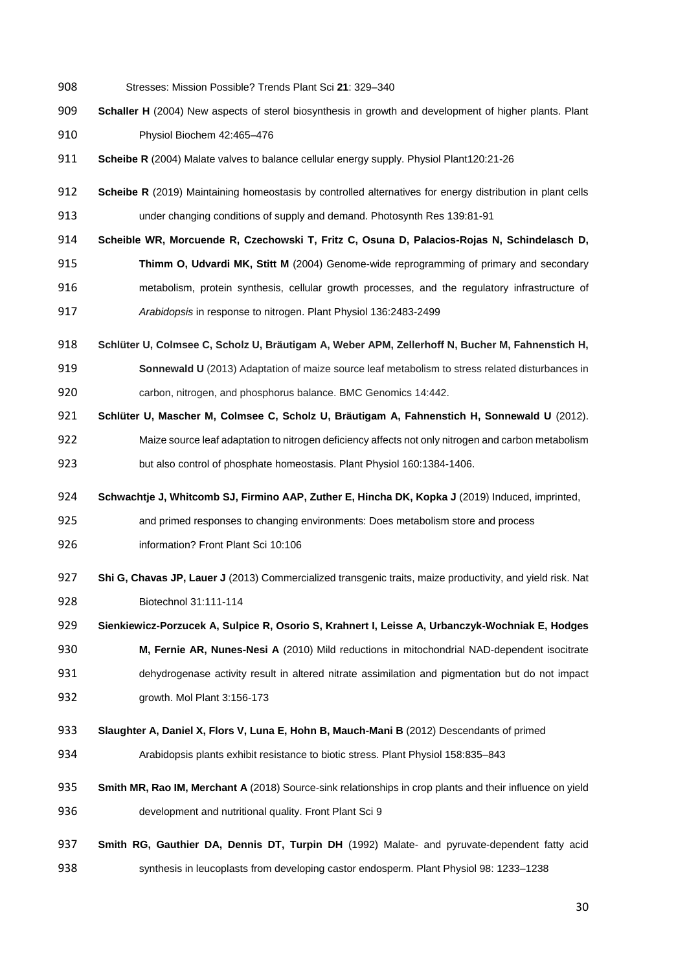- Stresses: Mission Possible? Trends Plant Sci **21**: 329–340
- **Schaller H** (2004) New aspects of sterol biosynthesis in growth and development of higher plants. Plant Physiol Biochem 42:465–476
- **Scheibe R** (2004) Malate valves to balance cellular energy supply. Physiol Plant120:21-26
- **Scheibe R** (2019) Maintaining homeostasis by controlled alternatives for energy distribution in plant cells under changing conditions of supply and demand. Photosynth Res 139:81-91

**Scheible WR, Morcuende R, Czechowski T, Fritz C, Osuna D, Palacios-Rojas N, Schindelasch D,** 

- **Thimm O, Udvardi MK, Stitt M** (2004) Genome-wide reprogramming of primary and secondary metabolism, protein synthesis, cellular growth processes, and the regulatory infrastructure of *Arabidopsis* in response to nitrogen. Plant Physiol 136:2483-2499
- **Schlüter U, Colmsee C, Scholz U, Bräutigam A, Weber APM, Zellerhoff N, Bucher M, Fahnenstich H,**
- **Sonnewald U** (2013) Adaptation of maize source leaf metabolism to stress related disturbances in carbon, nitrogen, and phosphorus balance. BMC Genomics 14:442.
- **Schlüter U, Mascher M, Colmsee C, Scholz U, Bräutigam A, Fahnenstich H, Sonnewald U** (2012). Maize source leaf adaptation to nitrogen deficiency affects not only nitrogen and carbon metabolism but also control of phosphate homeostasis. Plant Physiol 160:1384-1406.
- **Schwachtje J, Whitcomb SJ, Firmino AAP, Zuther E, Hincha DK, Kopka J** (2019) Induced, imprinted,
- and primed responses to changing environments: Does metabolism store and process
- information? Front Plant Sci 10:106
- **Shi G, Chavas JP, Lauer J** (2013) Commercialized transgenic traits, maize productivity, and yield risk. Nat Biotechnol 31:111-114
- **Sienkiewicz-Porzucek A, Sulpice R, Osorio S, Krahnert I, Leisse A, Urbanczyk-Wochniak E, Hodges M, Fernie AR, Nunes-Nesi A** (2010) Mild reductions in mitochondrial NAD-dependent isocitrate dehydrogenase activity result in altered nitrate assimilation and pigmentation but do not impact growth. Mol Plant 3:156-173
- **Slaughter A, Daniel X, Flors V, Luna E, Hohn B, Mauch-Mani B** (2012) Descendants of primed Arabidopsis plants exhibit resistance to biotic stress. Plant Physiol 158:835–843
- **Smith MR, Rao IM, Merchant A** (2018) Source-sink relationships in crop plants and their influence on yield development and nutritional quality. Front Plant Sci 9
- **Smith RG, Gauthier DA, Dennis DT, Turpin DH** (1992) Malate- and pyruvate-dependent fatty acid synthesis in leucoplasts from developing castor endosperm. Plant Physiol 98: 1233–1238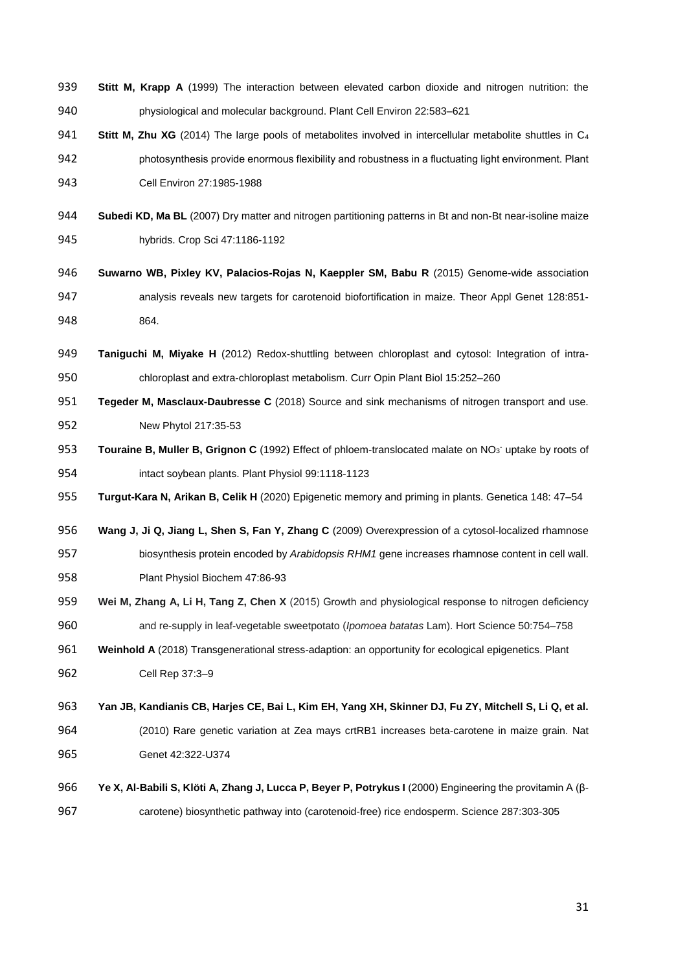- **Stitt M, Krapp A** (1999) The interaction between elevated carbon dioxide and nitrogen nutrition: the physiological and molecular background. Plant Cell Environ 22:583–621
- **Stitt M, Zhu XG** (2014) The large pools of metabolites involved in intercellular metabolite shuttles in C<sup>4</sup> photosynthesis provide enormous flexibility and robustness in a fluctuating light environment. Plant Cell Environ 27:1985-1988
- **Subedi KD, Ma BL** (2007) Dry matter and nitrogen partitioning patterns in Bt and non-Bt near-isoline maize hybrids. Crop Sci 47:1186-1192
- **Suwarno WB, Pixley KV, Palacios-Rojas N, Kaeppler SM, Babu R** (2015) Genome-wide association analysis reveals new targets for carotenoid biofortification in maize. Theor Appl Genet 128:851- 864.
- **Taniguchi M, Miyake H** (2012) Redox-shuttling between chloroplast and cytosol: Integration of intra-chloroplast and extra-chloroplast metabolism. Curr Opin Plant Biol 15:252–260
- **Tegeder M, Masclaux-Daubresse C** (2018) Source and sink mechanisms of nitrogen transport and use. New Phytol 217:35-53
- 953 **Touraine B, Muller B, Grignon C** (1992) Effect of phloem-translocated malate on NO<sub>3</sub> uptake by roots of intact soybean plants. Plant Physiol 99:1118-1123

**Turgut-Kara N, Arikan B, Celik H** (2020) Epigenetic memory and priming in plants. Genetica 148: 47–54

- **Wang J, Ji Q, Jiang L, Shen S, Fan Y, Zhang C** (2009) Overexpression of a cytosol-localized rhamnose biosynthesis protein encoded by *Arabidopsis RHM1* gene increases rhamnose content in cell wall. Plant Physiol Biochem 47:86-93
- **Wei M, Zhang A, Li H, Tang Z, Chen X** (2015) Growth and physiological response to nitrogen deficiency
- and re-supply in leaf-vegetable sweetpotato (*Ipomoea batatas* Lam). Hort Science 50:754–758
- **Weinhold A** (2018) Transgenerational stress-adaption: an opportunity for ecological epigenetics. Plant Cell Rep 37:3–9
- **Yan JB, Kandianis CB, Harjes CE, Bai L, Kim EH, Yang XH, Skinner DJ, Fu ZY, Mitchell S, Li Q, et al.** (2010) Rare genetic variation at Zea mays crtRB1 increases beta-carotene in maize grain. Nat Genet 42:322-U374
- **Ye X, Al-Babili S, Klöti A, Zhang J, Lucca P, Beyer P, Potrykus I** (2000) Engineering the provitamin A (β-carotene) biosynthetic pathway into (carotenoid-free) rice endosperm. Science 287:303-305